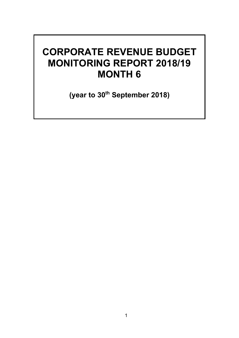# **CORPORATE REVENUE BUDGET MONITORING REPORT 2018/19 MONTH 6**

**(year to 30th September 2018)**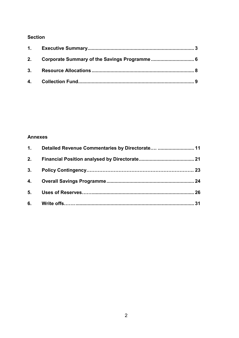#### **Section**

#### **Annexes**

|    | 1. Detailed Revenue Commentaries by Directorate  11 |  |
|----|-----------------------------------------------------|--|
| 2. |                                                     |  |
|    |                                                     |  |
|    |                                                     |  |
|    |                                                     |  |
|    |                                                     |  |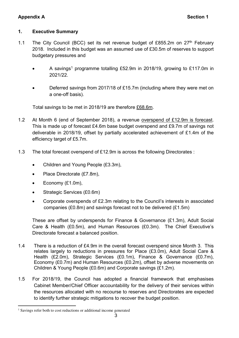#### **1. Executive Summary**

- 1.1 The City Council (BCC) set its net revenue budget of £855.2m on 27<sup>th</sup> February 2018. Included in this budget was an assumed use of £30.5m of reserves to support budgetary pressures and
	- A savings<sup>1</sup> programme totalling £52.9m in 2018/19, growing to £117.0m in 2021/22.
	- Deferred savings from 2017/18 of £15.7m (including where they were met on a one-off basis).

Total savings to be met in 2018/19 are therefore £68.6m.

- 1.2 At Month 6 (end of September 2018), a revenue overspend of £12.9m is forecast. This is made up of forecast £4.6m base budget overspend and £9.7m of savings not deliverable in 2018/19, offset by partially accelerated achievement of £1.4m of the efficiency target of £5.7m.
- 1.3 The total forecast overspend of £12.9m is across the following Directorates :
	- Children and Young People (£3.3m),
	- Place Directorate (£7.8m).
	- $\bullet$  Economy (£1.0m),
	- Strategic Services (£0.6m)
	- Corporate overspends of £2.3m relating to the Council's interests in associated companies (£0.8m) and savings forecast not to be delivered (£1.5m)

These are offset by underspends for Finance & Governance (£1.3m), Adult Social Care & Health (£0.5m), and Human Resources (£0.3m). The Chief Executive's Directorate forecast a balanced position.

- 1.4 There is a reduction of £4.9m in the overall forecast overspend since Month 3. This relates largely to reductions in pressures for Place (£3.0m), Adult Social Care & Health (£2.0m), Strategic Services (£0.1m), Finance & Governance (£0.7m), Economy (£0.7m) and Human Resources (£0.2m), offset by adverse movements on Children & Young People (£0.6m) and Corporate savings (£1.2m).
- 1.5 For 2018/19, the Council has adopted a financial framework that emphasises Cabinet Member/Chief Officer accountability for the delivery of their services within the resources allocated with no recourse to reserves and Directorates are expected to identify further strategic mitigations to recover the budget position.

 $\overline{a}$ <sup>1</sup> Savings refer both to cost reductions or additional income generated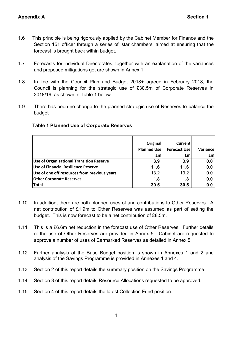- 1.6 This principle is being rigorously applied by the Cabinet Member for Finance and the Section 151 officer through a series of 'star chambers' aimed at ensuring that the forecast is brought back within budget.
- 1.7 Forecasts for individual Directorates, together with an explanation of the variances and proposed mitigations get are shown in Annex 1.
- 1.8 In line with the Council Plan and Budget 2018+ agreed in February 2018, the Council is planning for the strategic use of £30.5m of Corporate Reserves in 2018/19, as shown in Table 1 below.
- 1.9 There has been no change to the planned strategic use of Reserves to balance the budget

|                                                 | Original<br><b>Planned Use</b><br>£m | <b>Current</b><br><b>Forecast Use</b><br>£m | Variance<br>£m |
|-------------------------------------------------|--------------------------------------|---------------------------------------------|----------------|
| <b>Use of Organisational Transition Reserve</b> | 3.9                                  | 3.9                                         | 0.0            |
| <b>Use of Financial Resilience Reserve</b>      | 11.6                                 | 11.6                                        | 0.0            |
| Use of one off resources from previous years    | 13.2                                 | 13.2                                        | 0.0            |
| <b>Other Corporate Reserves</b>                 | 1.8                                  | 1.8                                         | 0.0            |
| <b>Total</b>                                    | 30.5                                 | 30.5                                        | 0.0            |

#### **Table 1 Planned Use of Corporate Reserves**

- 1.10 In addition, there are both planned uses of and contributions to Other Reserves. A net contribution of £1.9m to Other Reserves was assumed as part of setting the budget. This is now forecast to be a net contribution of £8.5m.
- 1.11 This is a £6.6m net reduction in the forecast use of Other Reserves. Further details of the use of Other Reserves are provided in Annex 5. Cabinet are requested to approve a number of uses of Earmarked Reserves as detailed in Annex 5.
- 1.12 Further analysis of the Base Budget position is shown in Annexes 1 and 2 and analysis of the Savings Programme is provided in Annexes 1 and 4.
- 1.13 Section 2 of this report details the summary position on the Savings Programme.
- 1.14 Section 3 of this report details Resource Allocations requested to be approved.
- 1.15 Section 4 of this report details the latest Collection Fund position.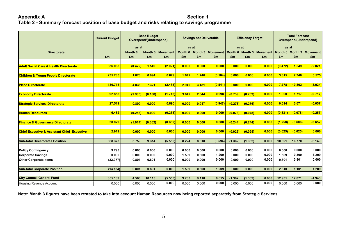#### Appendix A Section 1 **Table 2 - Summary forecast position of base budget and risks relating to savings programme**

|                                                        | <b>Current Budget</b> |                | <b>Base Budget</b><br><b>Savings not Deliverable</b><br><b>Overspend/(Underspend)</b> |                         | <b>Efficiency Target</b> |       | <b>Total Forecast</b><br><b>Overspend/(Underspend)</b> |         |         |                                                                    |         |         |         |
|--------------------------------------------------------|-----------------------|----------------|---------------------------------------------------------------------------------------|-------------------------|--------------------------|-------|--------------------------------------------------------|---------|---------|--------------------------------------------------------------------|---------|---------|---------|
|                                                        |                       | as at          |                                                                                       |                         |                          | as at |                                                        | as at   |         | as at                                                              |         |         |         |
| <b>Directorate</b>                                     |                       | <b>Month 6</b> |                                                                                       | <b>Month 3 Movement</b> | Month 6                  |       |                                                        |         |         | Month 3 Movement Month 6 Month 3 Movement Month 6 Month 3 Movement |         |         |         |
|                                                        | £m                    | £m             | £m                                                                                    | Em                      | £m                       | £m    | £m                                                     | £m      | £m      | £m                                                                 | £m      | £m      | £m      |
|                                                        |                       |                |                                                                                       |                         |                          |       |                                                        |         |         |                                                                    |         |         |         |
| <b>Adult Social Care &amp; Health Directorate</b>      | 336.068               | (0.472)        | 1.549                                                                                 | (2.021)                 | 0.000                    | 0.000 | 0.000                                                  | 0.000   | 0.000   | 0.000                                                              | (0.472) | 1.549   | (2.021) |
|                                                        |                       |                |                                                                                       |                         |                          |       |                                                        |         |         |                                                                    |         |         |         |
| <b>Children &amp; Young People Directorate</b>         | 235.785               | 1.673          | 0.994                                                                                 | 0.679                   | 1.642                    | 1.746 | (0.104)                                                | 0.000   | 0.000   | 0.000                                                              | 3.315   | 2.740   | 0.575   |
|                                                        | 136.713               |                |                                                                                       |                         |                          |       |                                                        |         |         |                                                                    | 7.778   |         |         |
| <b>Place Directorate</b>                               |                       | 4.838          | 7.321                                                                                 | (2.483)                 | 2.940                    | 3.481 | (0.541)                                                | 0.000   | 0.000   | 0.000                                                              |         | 10.802  | (3.024) |
| <b>Economy Directorate</b>                             | 92.858                | (1.903)        | (0.188)                                                                               | (1.715)                 | 3.642                    | 2.644 | 0.998                                                  | (0.739) | (0.739) | 0.000                                                              | 1.000   | 1.717   | (0.717) |
|                                                        |                       |                |                                                                                       |                         |                          |       |                                                        |         |         |                                                                    |         |         |         |
| <b>Strategic Services Directorate</b>                  | 27.519                | 0.890          | 0.000                                                                                 | 0.890                   | 0.000                    | 0.947 | (0.947)                                                | (0.276) | (0.276) | 0.000                                                              | 0.614   | 0.671   | (0.057) |
|                                                        |                       |                |                                                                                       |                         |                          |       |                                                        |         |         |                                                                    |         |         |         |
| <b>Human Resources</b>                                 | 6.482                 | (0.253)        | 0.000                                                                                 | (0.253)                 | 0.000                    | 0.000 | 0.000                                                  | (0.078) | (0.078) | 0.000                                                              | (0.331) | (0.078) | (0.253) |
|                                                        |                       |                |                                                                                       |                         |                          |       |                                                        |         |         |                                                                    |         |         |         |
| <b>Finance &amp; Governance Directorate</b>            | 30.029                | (1.014)        | (0.362)                                                                               | (0.652)                 | 0.000                    | 0.000 | 0.000                                                  | (0.244) | (0.244) | 0.000                                                              | (1.258) | (0.606) | (0.652) |
|                                                        |                       |                |                                                                                       |                         |                          |       |                                                        |         |         |                                                                    |         |         |         |
| <b>Chief Executive &amp; Assistant Chief Executive</b> | 2.919                 | 0.000          | 0.000                                                                                 | 0.000                   | 0.000                    | 0.000 | 0.000                                                  | (0.025) | (0.025) | 0.000                                                              | (0.025) | (0.025) | 0.000   |
|                                                        |                       |                |                                                                                       |                         |                          |       |                                                        |         |         |                                                                    |         |         |         |
| <b>Sub-total Directorates Position</b>                 | 868.373               | 3.759          | 9.314                                                                                 | (5.555)                 | 8.224                    | 8.818 | (0.594)                                                | (1.362) | (1.362) | 0.000                                                              | 10.621  | 16.770  | (6.149) |
|                                                        |                       |                |                                                                                       |                         |                          |       |                                                        |         |         |                                                                    |         |         |         |
| <b>Policy Contingency</b>                              | 9.793                 | 0.000          | 0.000                                                                                 | 0.000                   | 0.000                    | 0.000 | 0.000                                                  | 0.000   | 0.000   | 0.000                                                              | 0.000   | 0.000   | 0.000   |
| <b>Corporate Savings</b>                               | 0.000                 | 0.000          | 0.000                                                                                 | 0.000                   | 1.509                    | 0.300 | 1.209                                                  | 0.000   | 0.000   | 0.000                                                              | 1.509   | 0.300   | 1.209   |
| <b>Other Corporate Items</b>                           | (22.977)              | 0.801          | 0.801                                                                                 | 0.000                   | 0.000                    | 0.000 | 0.000                                                  | 0.000   | 0.000   | 0.000                                                              | 0.801   | 0.801   | 0.000   |
|                                                        |                       |                |                                                                                       |                         |                          |       |                                                        |         |         |                                                                    |         |         |         |
| <b>Sub-total Corporate Position</b>                    | (13.184)              | 0.801          | 0.801                                                                                 | 0.000                   | 1.509                    | 0.300 | 1.209                                                  | 0.000   | 0.000   | 0.000                                                              | 2.310   | 1.101   | 1.209   |
| <b>City Council General Fund</b>                       | 855.189               | 4.560          | 10.115                                                                                | (5.555)                 | 9.733                    | 9.118 | 0.615                                                  | (1.362) | (1.362) | 0.000                                                              | 12.931  | 17.871  | (4.940) |
| <b>Housing Revenue Account</b>                         | 0.000                 | 0.000          | 0.000                                                                                 | 0.000                   | 0.000                    | 0.000 | 0.000                                                  | 0.000   | 0.000   | 0.000                                                              | 0.000   | 0.000   | 0.000   |
|                                                        |                       |                |                                                                                       |                         |                          |       |                                                        |         |         |                                                                    |         |         |         |

**Note: Month 3 figures have been restated to take into account Human Resources now being reported separately from Strategic Services**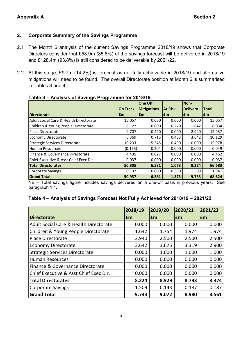#### **2. Corporate Summary of the Savings Programme**

- 2.1 The Month 6 analysis of the current Savings Programme 2018/19 shows that Corporate Directors consider that £58.9m (85.8%) of the savings forecast will be delivered in 2018/19 and £128.4m (93.8%) is still considered to be deliverable by 2021/22.
- 2.2 At this stage, £9.7m (14.2%) is forecast as not fully achievable in 2018/19 and alternative mitigations will need to be found. The overall Directorate position at Month 6 is summarised in Tables 3 and 4.

|                                        |                 | <b>One Off</b>     |                | Non-            |              |
|----------------------------------------|-----------------|--------------------|----------------|-----------------|--------------|
|                                        | <b>On Track</b> | <b>Mitigations</b> | <b>At Risk</b> | <b>Delivery</b> | <b>Total</b> |
| <b>IDirectorate</b>                    | l£m             | l£m                | l£m            | l£m             | l£m          |
| Adult Social Care & Health Directorate | 15.057          | 0.000              | 0.000          | 0.000           | 15.057       |
| Children & Young People Directorate    | 6.122           | 0.000              | 0.270          | 1.642           | 8.034        |
| Place Directorate                      | 9.707           | 0.290              | 0.000          | 2.940           | 12.937       |
| Economy Directorate                    | 5.369           | 0.715              | 0.403          | 3.642           | 10.129       |
| Strategic Services Directorate         | 10.233          | 5.345              | 0.400          | 0.000           | 15.978       |
| <b>Human Resources</b>                 | (0.155)         | 0.204              | 0.000          | 0.000           | 0.049        |
| Finance & Governance Directorate       | 4.435           | 0.027              | 0.000          | 0.000           | 4.462        |
| Chief Executive & Asst Chief Exec Dir. | 0.037           | 0.000              | 0.000          | 0.000           | 0.037        |
| <b>Total Directorates</b>              | 50.805          | 6.581              | 1.073          | 8.224           | 66.683       |
| Corporate Savings                      | 0.132           | 0.000              | 0.300          | 1.509           | 1.941        |
| <b>Grand Total</b>                     | 50.937          | 6.581              | 1.373          | 9.733           | 68.624       |

#### **Table 3 – Analysis of Savings Programme for 2018/19**

NB – Total savings figure includes savings delivered on a one-off basis in previous years. See paragraph 1.1.

#### **Table 4 – Analysis of Savings Forecast Not Fully Achieved for 2018/19 – 2021/22**

|                                                   | 2018/19 | 2019/20    | 2020/21   | 2021/22   |
|---------------------------------------------------|---------|------------|-----------|-----------|
| <b>Directorate</b>                                | £m      | <b>f</b> m | <b>Em</b> | <b>Em</b> |
| <b>Adult Social Care &amp; Health Directorate</b> | 0.000   | 0.000      | 0.000     | 0.000     |
| Children & Young People Directorate               | 1.642   | 1.754      | 1.974     | 1.974     |
| <b>Place Directorate</b>                          | 2.940   | 2.500      | 2.500     | 2.500     |
| <b>Economy Directorate</b>                        | 3.642   | 3.675      | 3.319     | 2.900     |
| <b>Strategic Services Directorate</b>             | 0.000   | 1.000      | 1.000     | 1.000     |
| <b>Human Resources</b>                            | 0.000   | 0.000      | 0.000     | 0.000     |
| Finance & Governance Directorate                  | 0.000   | 0.000      | 0.000     | 0.000     |
| Chief Executive & Asst Chief Exec Dir.            | 0.000   | 0.000      | 0.000     | 0.000     |
| <b>Total Directorates</b>                         | 8.224   | 8.929      | 8.793     | 8.374     |
| <b>Corporate Savings</b>                          | 1.509   | 0.143      | 0.187     | 0.187     |
| <b>Grand Total</b>                                | 9.733   | 9.072      | 8.980     | 8.561     |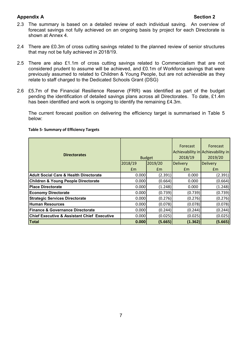- 2.3 The summary is based on a detailed review of each individual saving. An overview of forecast savings not fully achieved on an ongoing basis by project for each Directorate is shown at Annex 4.
- 2.4 There are £0.3m of cross cutting savings related to the planned review of senior structures that may not be fully achieved in 2018/19.
- 2.5 There are also £1.1m of cross cutting savings related to Commercialism that are not considered prudent to assume will be achieved, and £0.1m of Workforce savings that were previously assumed to related to Children & Young People, but are not achievable as they relate to staff charged to the Dedicated Schools Grant (DSG)
- 2.6 £5.7m of the Financial Resilience Reserve (FRR) was identified as part of the budget pending the identification of detailed savings plans across all Directorates. To date, £1.4m has been identified and work is ongoing to identify the remaining £4.3m.

The current forecast position on delivering the efficiency target is summarised in Table 5 below:

| <b>Directorates</b>                                    |         | <b>Budget</b> | Forecast<br>2018/19 | Forecast<br>Achievability in Achievability in<br>2019/20 |
|--------------------------------------------------------|---------|---------------|---------------------|----------------------------------------------------------|
|                                                        | 2018/19 | 2019/20       | <b>Delivery</b>     | <b>Delivery</b>                                          |
|                                                        | Em      | Em            | Em                  | Em                                                       |
| <b>Adult Social Care &amp; Health Directorate</b>      | 0.000   | (2.391)       | 0.000               | (2.391)                                                  |
| <b>Children &amp; Young People Directorate</b>         | 0.000   | (0.664)       | 0.000               | (0.664)                                                  |
| <b>Place Directorate</b>                               | 0.000   | (1.248)       | 0.000               | (1.248)                                                  |
| <b>Economy Directorate</b>                             | 0.000   | (0.739)       | (0.739)             | (0.739)                                                  |
| <b>Strategic Services Directorate</b>                  | 0.000   | (0.276)       | (0.276)             | (0.276)                                                  |
| <b>Human Resources</b>                                 | 0.000   | (0.078)       | (0.078)             | (0.078)                                                  |
| Finance & Governance Directorate                       | 0.000   | (0.244)       | (0.244)             | (0.244)                                                  |
| <b>Chief Executive &amp; Assistant Chief Executive</b> | 0.000   | (0.025)       | (0.025)             | (0.025)                                                  |
| Total                                                  | 0.000   | (5.665)       | (1.362)             | (5.665)                                                  |

#### **Table 5- Summary of Efficiency Targets**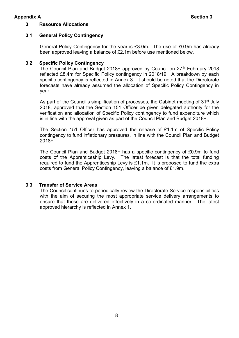#### **3. Resource Allocations**

#### **3.1 General Policy Contingency**

General Policy Contingency for the year is £3.0m. The use of £0.9m has already been approved leaving a balance of £2.1m before use mentioned below.

#### **3.2 Specific Policy Contingency**

The Council Plan and Budget 2018+ approved by Council on 27<sup>th</sup> February 2018 reflected £8.4m for Specific Policy contingency in 2018/19. A breakdown by each specific contingency is reflected in Annex 3. It should be noted that the Directorate forecasts have already assumed the allocation of Specific Policy Contingency in year.

As part of the Council's simplification of processes, the Cabinet meeting of 31<sup>st</sup> July 2018, approved that the Section 151 Officer be given delegated authority for the verification and allocation of Specific Policy contingency to fund expenditure which is in line with the approval given as part of the Council Plan and Budget 2018+.

The Section 151 Officer has approved the release of £1.1m of Specific Policy contingency to fund inflationary pressures, in line with the Council Plan and Budget 2018+.

The Council Plan and Budget 2018+ has a specific contingency of £0.9m to fund costs of the Apprenticeship Levy. The latest forecast is that the total funding required to fund the Apprenticeship Levy is £1.1m. It is proposed to fund the extra costs from General Policy Contingency, leaving a balance of £1.9m.

#### **3.3 Transfer of Service Areas**

The Council continues to periodically review the Directorate Service responsibilities with the aim of securing the most appropriate service delivery arrangements to ensure that these are delivered effectively in a co-ordinated manner. The latest approved hierarchy is reflected in Annex 1.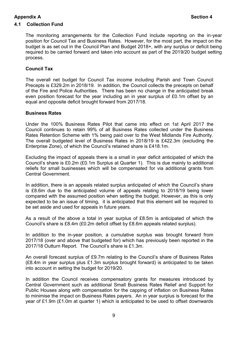#### **4.1 Collection Fund**

The monitoring arrangements for the Collection Fund include reporting on the in-year position for Council Tax and Business Rates. However, for the most part, the impact on the budget is as set out in the Council Plan and Budget 2018+, with any surplus or deficit being required to be carried forward and taken into account as part of the 2019/20 budget setting process.

#### **Council Tax**

The overall net budget for Council Tax income including Parish and Town Council Precepts is £329.2m in 2018/19. In addition, the Council collects the precepts on behalf of the Fire and Police Authorities. There has been no change in the anticipated break even position forecast for the year including an in year surplus of £0.1m offset by an equal and opposite deficit brought forward from 2017/18.

#### **Business Rates**

Under the 100% Business Rates Pilot that came into effect on 1st April 2017 the Council continues to retain 99% of all Business Rates collected under the Business Rates Retention Scheme with 1% being paid over to the West Midlands Fire Authority. The overall budgeted level of Business Rates in 2018/19 is £422.3m (excluding the Enterprise Zone), of which the Council's retained share is £418.1m.

Excluding the impact of appeals there is a small in year deficit anticipated of which the Council's share is £0.2m (£0.1m Surplus at Quarter 1). This is due mainly to additional reliefs for small businesses which will be compensated for via additional grants from Central Government.

In addition, there is an appeals related surplus anticipated of which the Council's share is £8.6m due to the anticipated volume of appeals relating to 2018/19 being lower compared with the assumed position when setting the budget. However, as this is only expected to be an issue of timing, it is anticipated that this element will be required to be set aside and used for appeals in future years.

As a result of the above a total in year surplus of £8.5m is anticipated of which the Council's share is £8.4m (£0.2m deficit offset by £8.6m appeals related surplus).

In addition to the in-year position, a cumulative surplus was brought forward from 2017/18 (over and above that budgeted for) which has previously been reported in the 2017/18 Outturn Report. The Council's share is £1.3m.

An overall forecast surplus of £9.7m relating to the Council's share of Business Rates (£8.4m in year surplus plus £1.3m surplus brought forward) is anticipated to be taken into account in setting the budget for 2019/20.

In addition the Council receives compensatory grants for measures introduced by Central Government such as additional Small Business Rates Relief and Support for Public Houses along with compensation for the capping of inflation on Business Rates to minimise the impact on Business Rates payers. An in year surplus is forecast for the year of £1.9m (£1.0m at quarter 1) which is anticipated to be used to offset downwards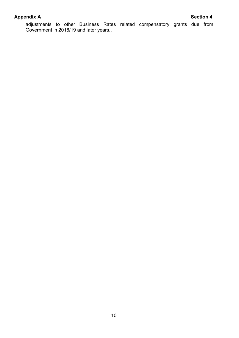adjustments to other Business Rates related compensatory grants due from Government in 2018/19 and later years..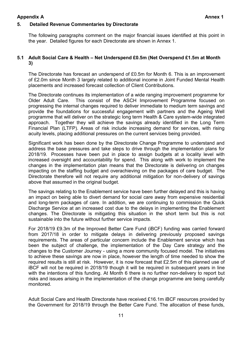#### **5. Detailed Revenue Commentaries by Directorate**

The following paragraphs comment on the major financial issues identified at this point in the year. Detailed figures for each Directorate are shown in Annex 1.

#### **5.1 Adult Social Care & Health – Net Underspend £0.5m (Net Overspend £1.5m at Month 3)**

The Directorate has forecast an underspend of £0.5m for Month 6. This is an improvement of £2.0m since Month 3 largely related to additional income in Joint Funded Mental Health placements and increased forecast collection of Client Contributions.

The Directorate continues its implementation of a wide ranging improvement programme for Older Adult Care. This consist of the ASCH Improvement Programme focused on progressing the internal changes required to deliver immediate to medium term savings and provide the foundations for successful engagement with partners and the Ageing Well programme that will deliver on the strategic long term Health & Care system-wide integrated approach. Together they will achieve the savings already identified in the Long Term Financial Plan (LTFP). Areas of risk include increasing demand for services, with rising acuity levels, placing additional pressures on the current services being provided.

Significant work has been done by the Directorate Change Programme to understand and address the base pressures and take steps to drive through the implementation plans for 2018/19. Processes have been put in place to assign budgets at a locality level with increased oversight and accountability for spend. This along with work to implement the changes in the implementation plan means that the Directorate is delivering on changes impacting on the staffing budget and overachieving on the packages of care budget. The Directorate therefore will not require any additional mitigation for non-delivery of savings above that assumed in the original budget.

The savings relating to the Enablement service have been further delayed and this is having an impact on being able to divert demand for social care away from expensive residential and long-term packages of care. In addition, we are continuing to commission the Quick Discharge Service at an increased cost due to the delays in implementing the Enablement changes. The Directorate is mitigating this situation in the short term but this is not sustainable into the future without further service impacts.

For 2018/19 £9.3m of the Improved Better Care Fund (iBCF) funding was carried forward from 2017/18 in order to mitigate delays in delivering previously proposed savings requirements. The areas of particular concern include the Enablement service which has been the subject of challenge, the implementation of the Day Care strategy and the changes to the Customer Journey - using a more community focused model. The initiatives to achieve these savings are now in place, however the length of time needed to show the required results is still at risk. However, it is now forecast that £2.5m of this planned use of iBCF will not be required in 2018/19 though it will be required in subsequent years in line with the intentions of this funding. At Month 6 there is no further non-delivery to report but risks and issues arising in the implementation of the change programme are being carefully monitored.

Adult Social Care and Health Directorate have received £16.1m iBCF resources provided by the Government for 2018/19 through the Better Care Fund. The allocation of these funds,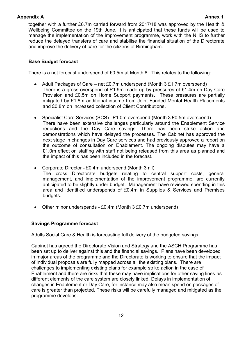together with a further £6.7m carried forward from 2017/18 was approved by the Health & Wellbeing Committee on the 19th June. It is anticipated that these funds will be used to manage the implementation of the improvement programme, work with the NHS to further reduce the delayed transfers of care and stabilise the financial situation of the Directorate and improve the delivery of care for the citizens of Birmingham.

### **Base Budget forecast**

There is a net forecast underspend of £0.5m at Month 6. This relates to the following:

- Adult Packages of Care net £0.7m underspend (Month 3 £1.7m overspend) There is a gross overspend of £1.9m made up by pressures of £1.4m on Day Care Provision and £0.5m on Home Support payments. These pressures are partially mitigated by £1.8m additional income from Joint Funded Mental Health Placements and £0.8m on increased collection of Client Contributions.
- Specialist Care Services (SCS) £1.0m overspend (Month 3 £0.5m overspend) There have been extensive challenges particularly around the Enablement Service reductions and the Day Care savings. There has been strike action and demonstrations which have delayed the processes. The Cabinet has approved the next stage in changes in Day Care services and had previously approved a report on the outcome of consultation on Enablement. The ongoing disputes may have a £1.0m effect on staffing with staff not being released from this area as planned and the impact of this has been included in the forecast.
- Corporate Director £0.4m underspend (Month 3 nil) The cross Directorate budgets relating to central support costs, general management, and implementation of the improvement programme, are currently anticipated to be slightly under budget. Management have reviewed spending in this area and identified underspends of £0.4m in Supplies & Services and Premises budgets.
- Other minor underspends £0.4m (Month 3 £0.7m underspend)

#### **Savings Programme forecast**

Adults Social Care & Health is forecasting full delivery of the budgeted savings.

Cabinet has agreed the Directorate Vision and Strategy and the ASCH Programme has been set up to deliver against this and the financial savings. Plans have been developed in major areas of the programme and the Directorate is working to ensure that the impact of individual proposals are fully mapped across all the existing plans. There are challenges to implementing existing plans for example strike action in the case of Enablement and there are risks that these may have implications for other saving lines as different elements of the care system are closely linked. Delays in implementation of changes in Enablement or Day Care, for instance may also mean spend on packages of care is greater than projected. These risks will be carefully managed and mitigated as the programme develops.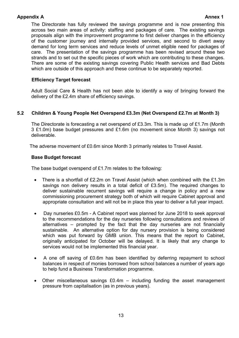The Directorate has fully reviewed the savings programme and is now presenting this across two main areas of activity: staffing and packages of care. The existing savings proposals align with the improvement programme to first deliver changes in the efficiency of the customer journey and internally provided services, and second to divert away demand for long term services and reduce levels of unmet eligible need for packages of care. The presentation of the savings programme has been revised around these two strands and to set out the specific pieces of work which are contributing to these changes. There are some of the existing savings covering Public Health services and Bad Debts which are outside of this approach and these continue to be separately reported.

#### **Efficiency Target forecast**

Adult Social Care & Health has not been able to identify a way of bringing forward the delivery of the £2.4m share of efficiency savings.

#### **5.2 Children & Young People Net Overspend £3.3m (Net Overspend £2.7m at Month 3)**

The Directorate is forecasting a net overspend of £3.3m. This is made up of £1.7m (Month 3 £1.0m) base budget pressures and £1.6m (no movement since Month 3) savings not deliverable.

The adverse movement of £0.6m since Month 3 primarily relates to Travel Assist.

#### **Base Budget forecast**

The base budget overspend of £1.7m relates to the following:

- There is a shortfall of £2.2m on Travel Assist (which when combined with the £1.3m savings non delivery results in a total deficit of £3.5m). The required changes to deliver sustainable recurrent savings will require a change in policy and a new commissioning procurement strategy both of which will require Cabinet approval and appropriate consultation and will not be in place this year to deliver a full year impact.
- Day nurseries £0.5m A Cabinet report was planned for June 2018 to seek approval to the recommendations for the day nurseries following consultations and reviews of alternatives – prompted by the fact that the day nurseries are not financially sustainable. An alternative option for day nursery provision is being considered which was put forward by GMB union. This means that the report to Cabinet, originally anticipated for October will be delayed. It is likely that any change to services would not be implemented this financial year.
- A one off saving of £0.6m has been identified by deferring repayment to school balances in respect of monies borrowed from school balances a number of years ago to help fund a Business Transformation programme.
- Other miscellaneous savings £0.4m including funding the asset management pressure from capitalisation (as in previous years).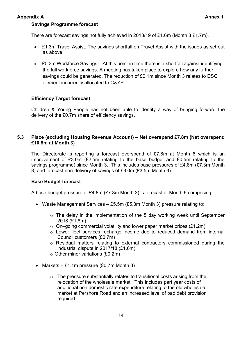#### **Savings Programme forecast**

There are forecast savings not fully achieved in 2018/19 of £1.6m (Month 3 £1.7m).

- £1.3m Travel Assist. The savings shortfall on Travel Assist with the issues as set out as above.
- £0.3m Workforce Savings. At this point in time there is a shortfall against identifying the full workforce savings. A meeting has taken place to explore how any further savings could be generated. The reduction of £0.1m since Month 3 relates to DSG element incorrectly allocated to C&YP.

#### **Efficiency Target forecast**

Children & Young People has not been able to identify a way of bringing forward the delivery of the £0.7m share of efficiency savings.

#### **5.3 Place (excluding Housing Revenue Account) – Net overspend £7.8m (Net overspend £10.8m at Month 3)**

The Directorate is reporting a forecast overspend of £7.8m at Month 6 which is an improvement of £3.0m (£2.5m relating to the base budget and £0.5m relating to the savings programme) since Month 3. This includes base pressures of £4.8m (£7.3m Month 3) and forecast non-delivery of savings of £3.0m (£3.5m Month 3).

#### **Base Budget forecast**

A base budget pressure of £4.8m (£7.3m Month 3) is forecast at Month 6 comprising:

- Waste Management Services £5.5m (£5.3m Month 3) pressure relating to:
	- $\circ$  The delay in the implementation of the 5 day working week until September 2018 (£1.8m)
	- $\circ$  On–going commercial volatility and lower paper market prices (£1.2m)
	- o Lower fleet services recharge income due to reduced demand from internal Council customers (£0.7m)
	- o Residual matters relating to external contractors commissioned during the industrial dispute in 2017/18 (£1.6m)
	- $\circ$  Other minor variations (£0.2m)
- Markets £1.1m pressure  $(E0.7m$  Month 3)
	- $\circ$  The pressure substantially relates to transitional costs arising from the relocation of the wholesale market. This includes part year costs of additional non domestic rate expenditure relating to the old wholesale market at Pershore Road and an increased level of bad debt provision required.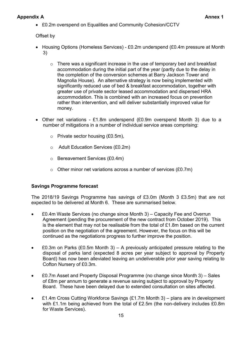£0.2m overspend on Equalities and Community Cohesion/CCTV

Offset by

- Housing Options (Homeless Services) £0.2m underspend (£0.4m pressure at Month 3)
	- o There was a significant increase in the use of temporary bed and breakfast accommodation during the initial part of the year (partly due to the delay in the completion of the conversion schemes at Barry Jackson Tower and Magnolia House). An alternative strategy is now being implemented with significantly reduced use of bed & breakfast accommodation, together with greater use of private sector leased accommodation and dispersed HRA accommodation. This is combined with an increased focus on prevention rather than intervention, and will deliver substantially improved value for money.
- Other net variations £1.8m underspend (£0.9m overspend Month 3) due to a number of mitigations in a number of individual service areas comprising:
	- o Private sector housing (£0.5m),
	- o Adult Education Services (£0.2m)
	- o Bereavement Services (£0.4m)
	- $\circ$  Other minor net variations across a number of services (£0.7m)

#### **Savings Programme forecast**

The 2018/19 Savings Programme has savings of £3.0m (Month 3 £3.5m) that are not expected to be delivered at Month 6. These are summarised below.

- £0.4m Waste Services (no change since Month 3) Capacity Fee and Overrun Agreement (pending the procurement of the new contract from October 2019). This is the element that may not be realisable from the total of £1.8m based on the current position on the negotiation of the agreement. However, the focus on this will be continued as the negotiations progress to further improve the position.
- E0.3m on Parks (£0.5m Month 3) A previously anticipated pressure relating to the disposal of parks land (expected 8 acres per year subject to approval by Property Board) has now been alleviated leaving an undeliverable prior year saving relating to Cofton Nursery of £0.3m.
- £0.7m Asset and Property Disposal Programme (no change since Month 3) Sales of £8m per annum to generate a revenue saving subject to approval by Property Board. These have been delayed due to extended consultation on sites affected.
- £1.4m Cross Cutting Workforce Savings (£1.7m Month 3) plans are in development with £1.1m being achieved from the total of £2.5m (the non-delivery includes £0.8m for Waste Services).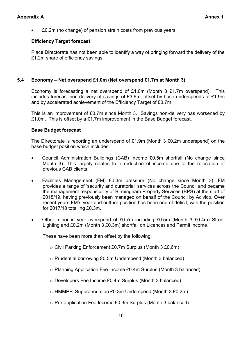• E0.2m (no change) of pension strain costs from previous years

#### **Efficiency Target forecast**

Place Directorate has not been able to identify a way of bringing forward the delivery of the £1.2m share of efficiency savings.

#### **5.4 Economy – Net overspend £1.0m (Net overspend £1.7m at Month 3)**

Economy is forecasting a net overspend of £1.0m (Month 3 £1.7m overspend). This includes forecast non-delivery of savings of £3.6m, offset by base underspends of £1.9m and by accelerated achievement of the Efficiency Target of £0.7m.

This is an improvement of £0.7m since Month 3. Savings non-delivery has worsened by £1.0m. This is offset by a £1.7m improvement in the Base Budget forecast.

#### **Base Budget forecast**

The Directorate is reporting an underspend of £1.9m (Month 3 £0.2m underspend) on the base budget position which includes:

- Council Administration Buildings (CAB) Income £0.5m shortfall (No change since Month 3): This largely relates to a reduction of income due to the relocation of previous CAB clients.
- Facilities Management (FM) £0.3m pressure (No change since Month 3): FM provides a range of 'security and curatorial' services across the Council and became the management responsibility of Birmingham Property Services (BPS) at the start of 2018/19, having previously been managed on behalf of the Council by Acivico. Over recent years FM's year-end outturn position has been one of deficit, with the position for 2017/18 totalling £0.3m.
- Other minor in year overspend of £0.7m including £0.5m (Month 3 £0.4m) Street Lighting and £0.2m (Month 3 £0.3m) shortfall on Licences and Permit income.

These have been more than offset by the following:

- o Civil Parking Enforcement £0.7m Surplus (Month 3 £0.6m)
- o Prudential borrowing £0.5m Underspend (Month 3 balanced)
- o Planning Application Fee Income £0.4m Surplus (Month 3 balanced)
- o Developers Fee Income £0.4m Surplus (Month 3 balanced)
- o HMMPFI Superannuation £0.3m Underspend (Month 3 £0.2m)
- o Pre-application Fee Income £0.3m Surplus (Month 3 balanced)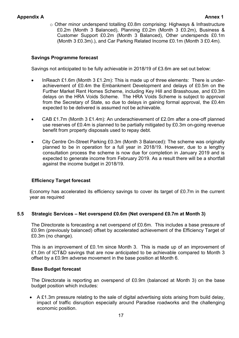o Other minor underspend totalling £0.8m comprising: Highways & Infrastructure £0.2m (Month 3 Balanced), Planning £0.2m (Month 3 £0.2m), Business & Customer Support £0.2m (Month 3 Balanced), Other underspends £0.1m (Month 3 £0.3m).), and Car Parking Related Income £0.1m (Month 3 £0.4m).

#### **Savings Programme forecast**

Savings not anticipated to be fully achievable in 2018/19 of £3.6m are set out below:

- InReach £1.6m (Month 3 £1.2m): This is made up of three elements: There is underachievement of £0.4m the Embankment Development and delays of £0.5m on the Further Market Rent Homes Scheme, including Key Hill and Brasshouse, and £0.3m delays on the HRA Voids Scheme. The HRA Voids Scheme is subject to approval from the Secretary of State, so due to delays in gaining formal approval, the £0.4m expected to be delivered is assumed not be achievable.
- CAB £1.7m (Month 3 £1.4m): An underachievement of £2.0m after a one-off planned use reserves of £0.4m is planned to be partially mitigated by £0.3m on-going revenue benefit from property disposals used to repay debt.
- City Centre On-Street Parking £0.3m (Month 3 Balanced): The scheme was originally planned to be in operation for a full year in 2018/19. However, due to a lengthy consultation process the scheme is now due for completion in January 2019 and is expected to generate income from February 2019. As a result there will be a shortfall against the income budget in 2018/19.

#### **Efficiency Target forecast**

Economy has accelerated its efficiency savings to cover its target of £0.7m in the current year as required

#### **5.5 Strategic Services – Net overspend £0.6m (Net overspend £0.7m at Month 3)**

The Directorate is forecasting a net overspend of £0.6m. This includes a base pressure of £0.9m (previously balanced) offset by accelerated achievement of the Efficiency Target of £0.3m (no change).

This is an improvement of £0.1m since Month 3. This is made up of an improvement of £1.0m of ICT&D savings that are now anticipated to be achievable compared to Month 3 offset by a £0.9m adverse movement in the base position at Month 6.

#### **Base Budget forecast**

The Directorate is reporting an overspend of £0.9m (balanced at Month 3) on the base budget position which includes:

 A £1.3m pressure relating to the sale of digital advertising slots arising from build delay, impact of traffic disruption especially around Paradise roadworks and the challenging economic position.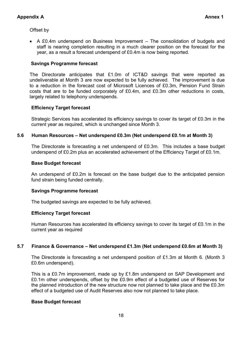Offset by

 A £0.4m underspend on Business Improvement – The consolidation of budgets and staff is nearing completion resulting in a much clearer position on the forecast for the year, as a result a forecast underspend of £0.4m is now being reported.

#### **Savings Programme forecast**

The Directorate anticipates that £1.0m of ICT&D savings that were reported as undeliverable at Month 3 are now expected to be fully achieved. The improvement is due to a reduction in the forecast cost of Microsoft Licences of £0.3m, Pension Fund Strain costs that are to be funded corporately of £0.4m, and £0.3m other reductions in costs, largely related to telephony underspends.

#### **Efficiency Target forecast**

Strategic Services has accelerated its efficiency savings to cover its target of £0.3m in the current year as required, which is unchanged since Month 3.

#### **5.6 Human Resources – Net underspend £0.3m (Net underspend £0.1m at Month 3)**

The Directorate is forecasting a net underspend of £0.3m. This includes a base budget underspend of £0.2m plus an accelerated achievement of the Efficiency Target of £0.1m.

#### **Base Budget forecast**

An underspend of £0.2m is forecast on the base budget due to the anticipated pension fund strain being funded centrally.

#### **Savings Programme forecast**

The budgeted savings are expected to be fully achieved.

#### **Efficiency Target forecast**

Human Resources has accelerated its efficiency savings to cover its target of £0.1m in the current year as required

#### **5.7 Finance & Governance – Net underspend £1.3m (Net underspend £0.6m at Month 3)**

The Directorate is forecasting a net underspend position of £1.3m at Month 6. (Month 3 £0.6m underspend).

This is a £0.7m improvement, made up by £1.8m underspend on SAP Development and £0.1m other underspends, offset by the £0.9m effect of a budgeted use of Reserves for the planned introduction of the new structure now not planned to take place and the £0.3m effect of a budgeted use of Audit Reserves also now not planned to take place.

#### **Base Budget forecast**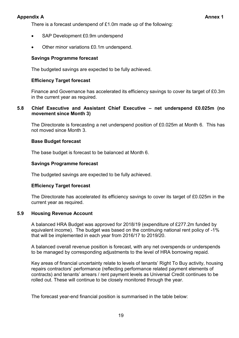There is a forecast underspend of £1.0m made up of the following:

- SAP Development £0.9m underspend
- Other minor variations £0.1m underspend.

#### **Savings Programme forecast**

The budgeted savings are expected to be fully achieved.

#### **Efficiency Target forecast**

Finance and Governance has accelerated its efficiency savings to cover its target of £0.3m in the current year as required.

#### **5.8 Chief Executive and Assistant Chief Executive – net underspend £0.025m (no movement since Month 3)**

The Directorate is forecasting a net underspend position of £0.025m at Month 6. This has not moved since Month 3.

#### **Base Budget forecast**

The base budget is forecast to be balanced at Month 6.

#### **Savings Programme forecast**

The budgeted savings are expected to be fully achieved.

#### **Efficiency Target forecast**

The Directorate has accelerated its efficiency savings to cover its target of £0.025m in the current year as required.

#### **5.9 Housing Revenue Account**

A balanced HRA Budget was approved for 2018/19 (expenditure of £277.2m funded by equivalent income). The budget was based on the continuing national rent policy of -1% that will be implemented in each year from 2016/17 to 2019/20.

A balanced overall revenue position is forecast, with any net overspends or underspends to be managed by corresponding adjustments to the level of HRA borrowing repaid.

Key areas of financial uncertainty relate to levels of tenants' Right To Buy activity, housing repairs contractors' performance (reflecting performance related payment elements of contracts) and tenants' arrears / rent payment levels as Universal Credit continues to be rolled out. These will continue to be closely monitored through the year.

The forecast year-end financial position is summarised in the table below: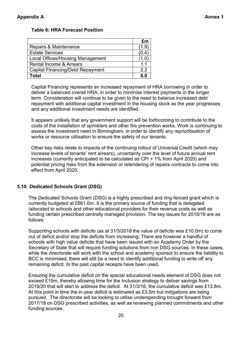#### **Table 6: HRA Forecast Position**

|                                         | £m   |
|-----------------------------------------|------|
| Repairs & Maintenance                   | (1.9 |
| <b>Estate Services</b>                  |      |
| <b>Local Offices/Housing Management</b> |      |
| <b>Rental Income &amp; Arrears</b>      | 1.1  |
| <b>Capital Financing/Debt Repayment</b> | 22   |
| Total                                   | 0.0  |

Capital Financing represents an increased repayment of HRA borrowing in order to deliver a balanced overall HRA, in order to minimise interest payments in the longer term. Consideration will continue to be given to the need to balance increased debt repayment with additional capital investment in the housing stock as the year progresses and any additional investment needs are identified.

It appears unlikely that any government support will be forthcoming to contribute to the costs of the installation of sprinklers and other fire prevention works. Work is continuing to assess the investment need in Birmingham, in order to identify any reprioritisation of works or resource utilisation to ensure the safety of our tenants.

Other key risks relate to impacts of the continuing rollout of Universal Credit (which may increase levels of tenants' rent arrears), uncertainty over the level of future annual rent increases (currently anticipated to be calculated as CPI + 1% from April 2020) and potential pricing risks from the extension or retendering of repairs contracts to come into effect from April 2020.

#### **5.10 Dedicated Schools Grant (DSG)**

The Dedicated Schools Grant (DSG) is a highly prescribed and ring-fenced grant which is currently budgeted at £661.6m. It is the primary source of funding that is delegated /allocated to schools and other educational providers for their revenue costs as well as funding certain prescribed centrally managed provision. The key issues for 2018/19 are as follows:

Supporting schools with deficits (as at 31/3/2018 the value of deficits was £10.0m) to come out of deficit and/or stop the deficits from increasing. There are however a handful of schools with high value deficits that have been issued with an Academy Order by the Secretary of State that will require funding solutions from non DSG sources. In these cases, while the directorate will work with the school and academy sponsor to ensure the liability to BCC is minimised, there will still be a need to identify additional funding to write off any remaining deficit. In the past capital receipts have been used.

Ensuring the cumulative deficit on the special educational needs element of DSG does not exceed £15m, thereby allowing time for the Inclusion strategy to deliver savings from 2019/20 that will start to address the deficit. At 31/3/18, the cumulative deficit was £13.8m. At this point in time the in-year deficit is estimated as £3.5m but mitigations are being pursued. The directorate will be looking to utilise underspending brought forward from 2017/18 on DSG prescribed activities, as well as reviewing planned commitments and other funding sources.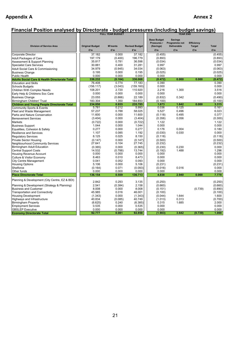## **Financial Position analysed by Directorate - budget pressures (including budget savings)**

|                                                          |                               | <b>FULL YEAR BUDGET</b> |                              | <b>YEAR END</b>                                       |                                                       |                                    |                     |
|----------------------------------------------------------|-------------------------------|-------------------------|------------------------------|-------------------------------------------------------|-------------------------------------------------------|------------------------------------|---------------------|
| <b>Division of Service Area</b>                          | <b>Original Budget</b><br>£'m | <b>M'ments</b><br>£'m   | <b>Revised Budget</b><br>£'m | <b>Base Budget</b><br>Pressures /<br>(Savings)<br>£'m | <b>Savings</b><br>Programme not<br>Deliverable<br>£'m | Efficiency<br><b>Target</b><br>£'m | <b>Total</b><br>£'m |
|                                                          |                               |                         |                              |                                                       |                                                       |                                    |                     |
| <b>Corporate Director</b>                                | 37.182                        | 0.000                   | 37.182                       | (0.455)                                               |                                                       |                                    | (0.455)             |
| <b>Adult Packages of Care</b>                            | 197.179                       | (0.400)                 | 196.779                      | (0.893)                                               |                                                       |                                    | (0.893)             |
| Assessment & Support Planning                            | 35.817                        | 0.781                   | 36.598                       | (0.034)                                               |                                                       |                                    | (0.034)             |
| <b>Specialist Care Services</b>                          | 30.881                        | 0.400                   | 31.281                       | 0.997                                                 |                                                       |                                    | 0.997               |
| Adult Social Care & Commissioning                        | 34.979                        | (0.945)                 | 34.034                       | (0.063)                                               |                                                       |                                    | (0.063)             |
| <b>Business Change</b>                                   | 0.195                         | 0.000                   | 0.195                        | (0.025)                                               |                                                       |                                    | (0.025)             |
| <b>Public Health</b>                                     | 0.000                         | 0.000                   | 0.000                        | 0.000                                                 |                                                       |                                    | 0.000               |
| <b>Adults Social Care &amp; Health Directorate Total</b> | 336.232                       | (0.164)                 | 336.068                      | (0.472)                                               | 0.000                                                 | 0.000                              | (0.472)             |
| <b>Education and Skills</b>                              | 76.408                        | 0.774                   | 77.183                       | 0.390                                                 |                                                       |                                    | 0.390               |
| <b>Schools Budgets</b>                                   | (156.117)                     | (3.043)                 | (159.160)                    | 0.000                                                 |                                                       |                                    | 0.000               |
| <b>Children With Complex Needs</b>                       | 108.201                       | 2.720                   | 110.920                      | 2.216                                                 | 1.300                                                 |                                    | 3.516               |
| Early Help & Childrens Soc Care                          | 0.000                         | 0.000                   | 0.000                        | 0.000                                                 |                                                       |                                    | 0.000               |
| <b>Business Change</b>                                   | 23.055                        | (0.866)                 | 22.189                       | (0.832)                                               | 0.342                                                 |                                    | (0.490)             |
| Birmingham Children' Trust                               | 183.304                       | 1.350                   | 184.653                      | (0.100)                                               |                                                       |                                    | (0.100)             |
| Children and Young People Directorate Total              | 234.850<br>5.781              | 0.935<br>0.212          | 235.785                      | 1.673<br>0.036                                        | 1.642<br>0.125                                        | 0.000                              | 3.315               |
| <b>Community Sports &amp; Events</b>                     | 57.237                        | 0.788                   | 5.993<br>58.025              | 5.527                                                 | 0.496                                                 |                                    | 0.161               |
| Fleet and Waste Management                               | 11.600                        | 0.000                   | 11.600                       |                                                       | 0.495                                                 |                                    | 6.023<br>0.377      |
| Parks and Nature Conservation                            |                               |                         |                              | (0.118)                                               |                                                       |                                    |                     |
| <b>Bereavement Services</b>                              | (3.404)                       | 0.000                   | (3.404)                      | (0.356)                                               | 0.056                                                 |                                    | (0.300)             |
| <b>Markets</b>                                           | (0.722)                       | 0.000                   | (0.722)                      | 1.122                                                 |                                                       |                                    | 1.122               |
| <b>Business Support</b>                                  | 1.044                         | 0.000                   | 1.044                        | 0.000                                                 |                                                       |                                    | 0.000               |
| Equalities, Cohesion & Safety                            | 0.277                         | 0.000                   | 0.277                        | 0.176                                                 | 0.004                                                 |                                    | 0.180               |
| <b>Resilience and Services</b>                           | 1.107                         | 0.085                   | 1.192                        | (0.030)                                               | 0.030                                                 |                                    | 0.000               |
| <b>Regulatory Services</b>                               | 8.125                         | 0.025                   | 8.150                        | (0.118)                                               |                                                       |                                    | (0.118)             |
| <b>Private Sector Housing</b>                            | (0.147)                       | 0.000                   | (0.147)                      | (0.500)                                               |                                                       |                                    | (0.500)             |
| Neighbourhood Community Services                         | 27.641                        | 0.104                   | 27.745                       | (0.232)                                               |                                                       |                                    | (0.232)             |
| <b>Birmingham Adult Education</b>                        | (0.365)                       | 0.000                   | (0.365)                      | (0.230)                                               | 0.230                                                 |                                    | 0.000               |
| <b>Central Support Costs</b>                             | 14.532<br>0.000               | (0.788)<br>0.000        | 13.744<br>0.000              | (0.192)<br>0.000                                      | 1.488                                                 |                                    | 1.296<br>0.000      |
| <b>Housing Revenue Account</b>                           |                               |                         |                              | 0.000                                                 |                                                       |                                    | 0.000               |
| Culture & Visitor Economy                                | 8.463<br>0.041                | 0.010                   | 8.473<br>0.093               |                                                       |                                                       |                                    |                     |
| <b>City Centre Management</b>                            | 5.106                         | 0.052<br>0.000          | 5.106                        | 0.000<br>(0.231)                                      |                                                       |                                    | 0.000<br>(0.231)    |
| <b>Housing Options</b><br>Shelforce                      | (0.164)                       | 0.071                   | (0.093)                      | (0.016)                                               | 0.016                                                 |                                    | 0.000               |
| Other funds                                              | 0.000                         | 0.000                   | 0.000                        | 0.000                                                 |                                                       |                                    | 0.000               |
| <b>Place Directorate Total</b>                           | 136.154                       | 0.559                   | 136.713                      | 4.838                                                 | 2.940                                                 | 0.000                              | 7.778               |
|                                                          |                               |                         |                              |                                                       |                                                       |                                    |                     |
| Planning & Development (City Centre, EZ & BDI)           | 2.842                         | 0.293                   | 3.135                        | (0.250)                                               |                                                       |                                    | (0.250)             |
| Planning & Development (Strategy & Planning)             | 2.541                         | (0.384)                 | 2.158                        | (0.660)                                               |                                                       |                                    | (0.660)             |
| <b>Business and Customer</b>                             | 8.008                         | 0.000                   | 8.008                        | (0.151)                                               |                                                       | (0.739)                            | (0.890)             |
| <b>Transportation and Connectivity</b>                   | 45.985                        | 0.016                   | 46.001                       | (0.100)                                               |                                                       |                                    | (0.100)             |
| <b>Housing Development</b>                               | (1.343)                       | 0.000                   | (1.343)                      | (0.044)                                               | 1.644                                                 |                                    | 1.600               |
| Highways and Infrastructure                              | 40.834                        | (0.085)                 | 40.749                       | (1.013)                                               | 0.313                                                 |                                    | (0.700)             |
| <b>Birmingham Property</b>                               | (6.625)                       | 0.240                   | (6.385)                      | 0.315                                                 | 1.685                                                 |                                    | 2.000               |
| <b>Employment Services</b>                               | 0.535                         | 0.000                   | 0.535                        | 0.000                                                 |                                                       |                                    | 0.000               |
| <b>GBSLEP Executive</b>                                  | 0.000                         | 0.000                   | 0.000                        | 0.000                                                 |                                                       |                                    | 0.000               |
| <b>Economy Directorate Total</b>                         | 92.777                        | 0.081                   | 92.858                       | (1.903)                                               | 3.642                                                 | (0.739)                            | 1.000               |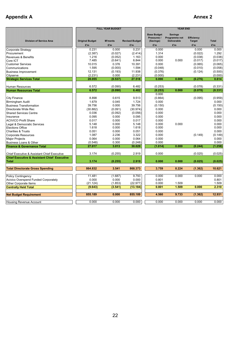|                                                                        |                               | <b>FULL YEAR BUDGET</b> |                              | <b>YEAR END</b>                                       |                                                              |                                    |              |
|------------------------------------------------------------------------|-------------------------------|-------------------------|------------------------------|-------------------------------------------------------|--------------------------------------------------------------|------------------------------------|--------------|
| <b>Division of Service Area</b>                                        | <b>Original Budget</b><br>£'m | <b>M'ments</b><br>£'m   | <b>Revised Budget</b><br>£'m | <b>Base Budget</b><br>Pressures /<br>(Savings)<br>£'m | <b>Savings</b><br>Programme not<br><b>Deliverable</b><br>£'m | Efficiency<br><b>Target</b><br>£'m | Total<br>£'m |
|                                                                        |                               |                         |                              |                                                       |                                                              |                                    |              |
| Corporate Strategy                                                     | 0.231                         | 0.000                   | 0.231                        | 0.000                                                 |                                                              | 0.000                              | 0.000        |
| Procurement                                                            | (2.387)                       | (0.027)                 | (2.414)                      | 1.314                                                 |                                                              | (0.022)                            | 1.292        |
| Revenues & Benefits                                                    | 1.216                         | (0.052)                 | 1.163                        | 0.000                                                 |                                                              | (0.038)                            | (0.038)      |
| Core ICT                                                               | 7.485                         | (0.641)                 | 6.844                        | 0.000                                                 | 0.000                                                        | (0.017)                            | (0.017)      |
| <b>Customer Services</b>                                               | 10.015                        | 0.376                   | 10.391                       | 0.000                                                 |                                                              | (0.065)                            | (0.065)      |
| Communications                                                         | 1.595                         | (0.000)                 | 1.594                        | (0.048)                                               |                                                              | (0.010)                            | (0.058)      |
| <b>Business Improvement</b>                                            | 12.131                        | (0.193)                 | 11.938                       | (0.376)                                               |                                                              | (0.124)                            | (0.500)      |
| Cityserve                                                              | (2.231)                       | 0.000                   | (2.231)                      | (0.000)                                               |                                                              |                                    | (0.000)      |
| <b>Strategic Services Total</b>                                        | 28.055                        | (0.537)                 | 27.518                       | 0.890                                                 | 0.000                                                        | (0.276)                            | 0.614        |
| <b>Human Resources</b>                                                 | 6.572                         | (0.090)                 | 6.482                        | (0.253)                                               |                                                              | (0.078)                            | (0.331)      |
| <b>Human Resources Total</b>                                           | 6.572                         | (0.090)                 | 6.482                        | (0.253)                                               | 0.000                                                        | (0.078)                            | (0.331)      |
|                                                                        |                               |                         |                              | 0.000                                                 |                                                              |                                    |              |
| <b>City Finance</b>                                                    | 8.898                         | 0.615                   | 9.513                        | (0.864)                                               |                                                              | (0.095)                            | (0.959)      |
| <b>Birmingham Audit</b>                                                | 1.679                         | 0.045                   | 1.724                        | 0.000                                                 |                                                              |                                    | 0.000        |
| <b>Business Transformation</b>                                         | 39.756                        | 0.000                   | 39.756                       | (0.150)                                               |                                                              |                                    | (0.150)      |
| Directorate Wide Rec                                                   | (30.882)                      | (0.091)                 | (30.974)                     | 0.000                                                 |                                                              |                                    | 0.000        |
| <b>Shared Services Centre</b>                                          | 0.036                         | (0.092)                 | (0.056)                      | 0.000                                                 |                                                              |                                    | 0.000        |
| Insurance                                                              | 0.095                         | 0.000                   | 0.095                        | 0.000                                                 |                                                              |                                    | 0.000        |
| <b>ACIVICO Profit Share</b>                                            | 0.017                         | 0.000                   | 0.017                        | 0.000                                                 |                                                              |                                    | 0.000        |
| Legal & Democratic Services                                            | 5.148                         | 0.000                   | 5.148                        | 0.000                                                 | 0.000                                                        |                                    | 0.000        |
| <b>Elections Office</b>                                                | 1.618                         | 0.000                   | 1.618                        | 0.000                                                 |                                                              |                                    | 0.000        |
| <b>Charities &amp; Trusts</b>                                          | 0.051                         | 0.000                   | 0.051                        | 0.000                                                 |                                                              |                                    | 0.000        |
| <b>Corporate Resources</b>                                             | 1.087                         | 2.236                   | 3.322                        | 0.000                                                 |                                                              | (0.149)                            | (0.149)      |
| <b>Major Projects</b>                                                  | 0.064                         | 0.000                   | 0.064                        | 0.000                                                 |                                                              |                                    | 0.000        |
| Business Loans & Other                                                 | (0.548)                       | 0.300                   | (0.248)                      | 0.000                                                 |                                                              |                                    | 0.000        |
| <b>Finance &amp; Governance Total</b>                                  | 27.017                        | 3.013                   | 30.029                       | (1.014)                                               | 0.000                                                        | (0.244)                            | (1.258)      |
|                                                                        |                               |                         |                              |                                                       |                                                              |                                    |              |
| <b>Chief Executive &amp; Assistant Chief Executive</b>                 | 3.174                         | (0.255)                 | 2.919                        | 0.000                                                 |                                                              | (0.025)                            | (0.025)      |
| <b>Chief Executive &amp; Assistant Chief Executive</b><br><b>Total</b> | 3.174                         | (0.255)                 | 2.919                        | 0.000                                                 | 0.000                                                        | (0.025)                            | (0.025)      |
|                                                                        |                               |                         |                              |                                                       |                                                              |                                    |              |
| <b>Total Directorate Gross Spending</b>                                | 864.832                       | 3.541                   | 868.373                      | 3.759                                                 | 8.224                                                        | (1.362)                            | 10.621       |
|                                                                        | 11.481                        |                         | 9.793                        | 0.000                                                 | 0.000                                                        | 0.000                              | 0.000        |
| <b>Policy Contingency</b>                                              | 0.000                         | (1.687)<br>0.000        | 0.000                        |                                                       |                                                              |                                    |              |
| <b>Acivico Overspend Funded Corporately</b>                            |                               |                         |                              | 0.801                                                 |                                                              |                                    | 0.801        |
| Other Corporate Items                                                  | (21.124)                      | (1.853)                 | (22.977)                     | 0.000                                                 | 1.509<br>1.509                                               |                                    | 1.509        |
| <b>Centrally Held Total</b>                                            | (9.643)                       | (3.541)                 | (13.184)                     | 0.801                                                 |                                                              | 0.000                              | 2.310        |
| <b>Net Budget Requirement</b>                                          | 855.189                       | 0.000                   | 855.189                      | 4.560                                                 | 9.733                                                        | (1.362)                            | 12.931       |
|                                                                        |                               |                         |                              |                                                       |                                                              |                                    |              |
| Housing Revenue Account                                                | 0.000                         | 0.000                   | 0.000                        | 0.000                                                 | 0.000                                                        | 0.000                              | 0.000        |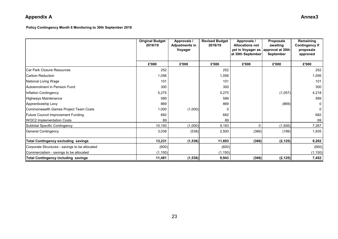**Policy Contingency Month 6 Monitoring to 30th September 2018**

|                                                | <b>Original Budget</b><br>2018/19 | Approvals /<br><b>Adjustments in</b><br>Voyager | <b>Revised Budget</b><br>2018/19 | Approvals /<br><b>Allocations not</b><br>yet in Voyager as<br>at 30th September | <b>Proposals</b><br>awaiting<br>approval at 30th<br><b>September</b> | Remaining<br><b>Contingency if</b><br>proposals<br>approved |
|------------------------------------------------|-----------------------------------|-------------------------------------------------|----------------------------------|---------------------------------------------------------------------------------|----------------------------------------------------------------------|-------------------------------------------------------------|
|                                                | £'000                             | £'000                                           | £'000                            | £'000                                                                           | £'000                                                                | £'000                                                       |
| Car Park Closure Resources                     | 252                               |                                                 | 252                              |                                                                                 |                                                                      | 252                                                         |
| ICarbon Reduction                              | 1,056                             |                                                 | 1,056                            |                                                                                 |                                                                      | 1,056                                                       |
| National Living Wage                           | 101                               |                                                 | 101                              |                                                                                 |                                                                      | 101                                                         |
| Autoenrolment in Pension Fund                  | 300                               |                                                 | 300                              |                                                                                 |                                                                      | 300                                                         |
| Inflation Contingency                          | 5,275                             |                                                 | 5,275                            |                                                                                 | (1,057)                                                              | 4,218                                                       |
| Highways Maintenance                           | 589                               |                                                 | 589                              |                                                                                 |                                                                      | 589                                                         |
| Apprenticeship Levy                            | 869                               |                                                 | 869                              |                                                                                 | (869)                                                                | 0                                                           |
| Commonwealth Games Project Team Costs          | 1,000                             | (1,000)                                         | 0                                |                                                                                 |                                                                      | $\mathbf 0$                                                 |
| <b>Future Council Improvement Funding</b>      | 682                               |                                                 | 682                              |                                                                                 |                                                                      | 682                                                         |
| <b>WOC2 Implementation Costs</b>               | 69                                |                                                 | 69                               |                                                                                 |                                                                      | 69                                                          |
| Subtotal Specific Contingency                  | 10,193                            | (1,000)                                         | 9,193                            | ∩                                                                               | (1,926)                                                              | 7,267                                                       |
| General Contingency                            | 3,038                             | (538)                                           | 2,500                            | (366)                                                                           | (199)                                                                | 1,935                                                       |
| <b>Total Contingency excluding savings</b>     | 13,231                            | (1, 538)                                        | 11,693                           | (366)                                                                           | (2, 125)                                                             | 9,202                                                       |
| Corporate Structures - savings to be allocated | (600)                             |                                                 | (600)                            |                                                                                 |                                                                      | (600)                                                       |
| Commercialism - savings to be allocated        | (1, 150)                          |                                                 | (1, 150)                         |                                                                                 |                                                                      | (1, 150)                                                    |
| Total Contingency including savings            | 11,481                            | (1, 538)                                        | 9,943                            | (366)                                                                           | (2, 125)                                                             | 7,452                                                       |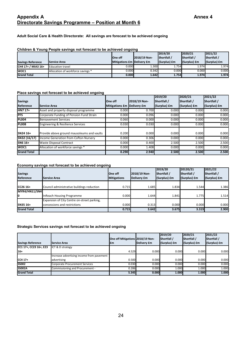#### **Appendix A Annex 4 Directorate Savings Programme – Position at Month 6**

#### **Adult Social Care & Health Directorate: All savings are forecast to be achieved ongoing**

#### **Children & Young People savings not forecast to be achieved ongoing**

|                          |                                   |                            |              | 2019/20          | 2020/21          | 2021/22      |
|--------------------------|-----------------------------------|----------------------------|--------------|------------------|------------------|--------------|
|                          |                                   | <b>IOne off</b>            | 2018/19 Non- | <b>Shortfall</b> | <b>Shortfall</b> | Shortfall /  |
| <b>Savings Reference</b> | <b>Service Area</b>               | Mitigations Em Delivery Em |              | (Surplus) £m     | (Surplus) £m     | (Surplus) £m |
| $CH4 17 + / MIA3 16 +$   | <b>Education travel</b>           | 0.000                      | 1.300        | 1.754            | 1.974            | 1.974        |
| IWOC1                    | Allocation of workforce savings * | 0.000                      | 0.342        | 0.000            | 0.000            | 0.000        |
| <b>Grand Total</b>       |                                   | 0.000                      | 1.642        | 1.754            | 1.974            | 1.974        |

#### **Place savings not forecast to be achieved ongoing**

|                    |                                              |                            |              | 2019/20      | 2020/21      | 2021/22      |
|--------------------|----------------------------------------------|----------------------------|--------------|--------------|--------------|--------------|
| <b>Savings</b>     |                                              | One off                    | 2018/19 Non- | Shortfall /  | Shortfall /  | Shortfall /  |
| Reference          | <b>Service Area</b>                          | Mitigations Em Delivery Em |              | (Surplus) £m | (Surplus) £m | (Surplus) £m |
| <b>HN7 17+</b>     | Asset and property disposal programme        | 0.000                      | 0.700        | 0.000        | 0.000        | 0.000        |
| <b>PFS</b>         | Corporate Funding of Pension Fund Strain     | 0.000                      | 0.096        | 0.000        | 0.000        | 0.000        |
| <b>PL004</b>       | <b>Bereavement Services</b>                  | 0.060                      | 0.000        | 0.000        | 0.000        | 0.000        |
| <b>PL008</b>       | <b>Engineering &amp; Resilience Services</b> | 0.030                      | 0.030        | 0.000        | 0.000        | 0.000        |
| <b>SN24 16+</b>    | Provide above ground mausoleums and vaults   | 0.200                      | 0.000        | 0.000        | 0.000        | 0.000        |
| SN32 (16/17)       | Income Generation from Cofton Nursery        | 0.000                      | 0.306        | 0.000        | 0.000        | 0.000        |
| SN6 16+            | <b>Waste Disposal Contract</b>               | 0.000                      | 0.400        | 2.500        | 2.500        | 2.500        |
| WOC1               | Allocation of workforce savings *            | 0.000                      | 1.408        | 0.000        | 0.000        | 0.000        |
| <b>Grand Total</b> |                                              | 0.290                      | 2.940        | 2.500        | 2.500        | 2.500        |

#### **Economy savings not forecast to be achieved ongoing**

| <b>Savings</b><br>Reference                             | <b>Service Area</b>                                                         | <b>One off</b><br><b>Mitigations</b> | 2018/19 Non-<br>Delivery £m | 2019/20<br>Shortfall /<br>(Surplus) £m | 20120/21<br>Shortfall /<br>$(Surplus)$ $Em$ | 2021/22<br>Shortfall /<br>(Surplus) £m |
|---------------------------------------------------------|-----------------------------------------------------------------------------|--------------------------------------|-----------------------------|----------------------------------------|---------------------------------------------|----------------------------------------|
| $ICC2616+$                                              | Council administrative buildings reduction                                  | 0.715                                | 1.685                       | 1.834                                  | 1.544                                       | 1.386                                  |
| MYR4/HN11/SN4<br>I0<br><b>InReach Housing Programme</b> |                                                                             | 0.000                                | 1.644                       | 1.841                                  | 1.775                                       | 1.514                                  |
| SN35 16+                                                | Expansion of City Centre on-street parking,<br>concessions and restrictions | 0.000                                | 0.313                       | 0.000                                  | 0.000                                       | 0.000                                  |
| <b>Grand Total</b>                                      |                                                                             | 0.715                                | 3.642                       | 3.675                                  | 3.319                                       | 2.900                                  |

#### **Strategic Services savings not forecast to be achieved ongoing**

| <b>Savings Reference</b> | <b>Service Area</b>                       | One off Mitigations 2018/19 Non-<br>£m | Delivery £m | 2019/20<br>Shortfall /<br>(Surplus) £m | 2020/21<br>Shortfall /<br>(Surplus) £m | 2021/22<br><b>Shortfall</b><br>(Surplus) £m |
|--------------------------|-------------------------------------------|----------------------------------------|-------------|----------------------------------------|----------------------------------------|---------------------------------------------|
| CC1 17+, CC23 16+, E23   | ICT & D strategy                          |                                        |             |                                        |                                        |                                             |
| $16+$                    |                                           | 4.529                                  | 0.000       | 0.000                                  | 0.000                                  | 0.000                                       |
|                          | Increase advertising income from pavement |                                        |             |                                        |                                        |                                             |
| $ICC4 17+$               | advertising                               | 0.500                                  | 0.000       | 0.000                                  | 0.000                                  | 0.000                                       |
| <b>SS002</b>             | <b>Corporate Procurement Services</b>     | 0.030                                  | 0.000       | 0.000                                  | 0.000                                  | 0.000                                       |
| <b>SS002A</b>            | Commissioning and Procurement -           | 0.286                                  | 0.000       | 1.000                                  | 1.000                                  | 1.000                                       |
| <b>Grand Total</b>       |                                           | 5.345                                  | 0.000       | 1.000                                  | 1.000                                  | 1.000                                       |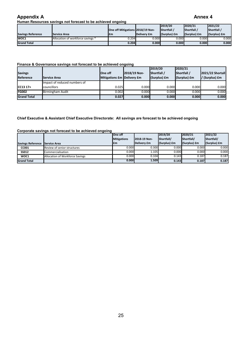#### **Human Resources savings not forecast to be achieved ongoing**

|                          |                                   |                                  |             | 2019/20      | 2020/21      | 2021/22      |
|--------------------------|-----------------------------------|----------------------------------|-------------|--------------|--------------|--------------|
|                          |                                   | One off Mitigations 2018/19 Non- |             | Shortfall /  | Shortfall    | Shortfall /  |
| <b>Savings Reference</b> | <b>Service Area</b>               | l£m                              | Delivery £m | (Surplus) £m | (Surplus) £m | (Surplus) £m |
| IWOC1                    | Allocation of workforce savings * | 0.204                            | 0.000       | 0.000        | 0.000        | 0.000        |
| <b>Grand Total</b>       |                                   | 0.204                            | 0.000       | 0.000        | 0.000        | 0.000        |

#### **Finance & Governance savings not forecast to be achieved ongoing**

|                    |                              |                            |              | 2019/20          | 2020/21          |                         |
|--------------------|------------------------------|----------------------------|--------------|------------------|------------------|-------------------------|
| <b>Savings</b>     |                              | <b>IOne off</b>            | 2018/19 Non- | <b>Shortfall</b> | <b>Shortfall</b> | <b>2021/22 Shortall</b> |
| Reference          | Service Area                 | Mitigations £m Delivery £m |              | (Surplus) £m     | $(Surplus)$ $Em$ | / (Surplus) £m          |
|                    | Impact of reduced numbers of |                            |              |                  |                  |                         |
| $CC1317+$          | councillors                  | 0.025                      | 0.000        | 0.000            | 0.000            | 0.000                   |
| <b>FG002</b>       | Birmingham Audit             | 0.002                      | 0.000        | 0.000            | 0.000            | 0.000                   |
| <b>Grand Total</b> |                              | 0.027                      | 0.000        | 0.000            | 0.000            | 0.000                   |

#### **Chief Executive & Assistant Chief Executive Directorate: All savings are forecast to be achieved ongoing**

#### **Corporate savings not forecast to be achieved ongoing**

|                          |                                 | lOne off           |              | 2019/20      | 2020/21      | 2021/22      |
|--------------------------|---------------------------------|--------------------|--------------|--------------|--------------|--------------|
|                          |                                 | <b>Mitigations</b> | 2018-19 Non- | Shortfall/   | Shortfall/   | Shortfall/   |
| <b>Savings Reference</b> | <b>Service Area</b>             | <b>Em</b>          | Delivery £m  | (Surplus) £m | (Surplus) £m | (Surplus) £m |
| <b>CC001</b>             | Review of senior structures     | 0.000              | 0.300        | 0.000        | 0.000        | 0.000        |
| SS012                    | Commercialisation               | 0.000              | 1.105        | 0.000        | 0.000        | 0.000        |
| WOC1                     | Allocation of Workforce Savings | 0.000              | 0.104        | 0.143        | 0.187        | 0.187        |
| <b>Grand Total</b>       |                                 | 0.000              | 1.509        | 0.143        | 0.187        | 0.187        |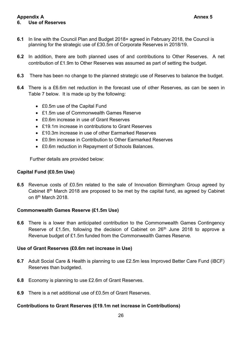#### **Appendix A Annex 5 6. Use of Reserves**

- **6.1** In line with the Council Plan and Budget 2018+ agreed in February 2018, the Council is planning for the strategic use of £30.5m of Corporate Reserves in 2018/19.
- **6.2** In addition, there are both planned uses of and contributions to Other Reserves. A net contribution of £1.9m to Other Reserves was assumed as part of setting the budget.
- **6.3** There has been no change to the planned strategic use of Reserves to balance the budget.
- **6.4** There is a £6.6m net reduction in the forecast use of other Reserves, as can be seen in Table 7 below. It is made up by the following:
	- £0.5m use of the Capital Fund
	- £1.5m use of Commonwealth Games Reserve
	- £0.6m increase in use of Grant Reserves
	- £19.1m increase in contributions to Grant Reserves
	- £10.3m increase in use of other Earmarked Reserves
	- £0.9m increase in Contribution to Other Earmarked Reserves
	- £0.6m reduction in Repayment of Schools Balances.

Further details are provided below:

### **Capital Fund (£0.5m Use)**

**6.5** Revenue costs of £0.5m related to the sale of Innovation Birmingham Group agreed by Cabinet  $8<sup>th</sup>$  March 2018 are proposed to be met by the capital fund, as agreed by Cabinet on 8th March 2018.

### **Commonwealth Games Reserve (£1.5m Use)**

**6.6** There is a lower than anticipated contribution to the Commonwealth Games Contingency Reserve of £1.5m, following the decision of Cabinet on 26<sup>th</sup> June 2018 to approve a Revenue budget of £1.5m funded from the Commonwealth Games Reserve.

#### **Use of Grant Reserves (£0.6m net increase in Use)**

- **6.7** Adult Social Care & Health is planning to use £2.5m less Improved Better Care Fund (iBCF) Reserves than budgeted.
- **6.8** Economy is planning to use £2.6m of Grant Reserves.
- **6.9** There is a net additional use of £0.5m of Grant Reserves.

#### **Contributions to Grant Reserves (£19.1m net increase in Contributions)**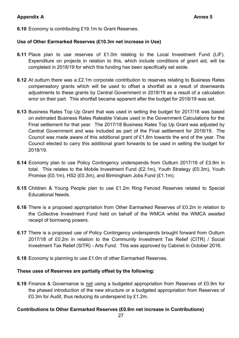**6.10** Economy is contributing £19.1m to Grant Reserves.

#### **Use of Other Earmarked Reserves (£10.3m net increase in Use)**

- **6.11** Place plan to use reserves of £1.0m relating to the Local Investment Fund (LIF). Expenditure on projects in relation to this, which include conditions of grant aid, will be completed in 2018/19 for which this funding has been specifically set aside.
- **6.12** At outturn there was a £2.1m corporate contribution to reserves relating to Business Rates compensatory grants which will be used to offset a shortfall as a result of downwards adjustments to these grants by Central Government in 2018/19 as a result of a calculation error on their part. This shortfall became apparent after the budget for 2018/19 was set.
- **6.13** Business Rates Top Up Grant that was used in setting the budget for 2017/18 was based on estimated Business Rates Rateable Values used in the Government Calculations for the Final settlement for that year. The 2017/18 Business Rates Top Up Grant was adjusted by Central Government and was included as part of the Final settlement for 2018/19. The Council was made aware of this additional grant of £1.8m towards the end of the year. The Council elected to carry this additional grant forwards to be used in setting the budget for 2018/19.
- **6.14** Economy plan to use Policy Contingency underspends from Outturn 2017/18 of £3.9m in total. This relates to the Mobile Investment Fund (£2.1m), Youth Strategy (£0.3m), Youth Promise (£0.1m), HS2 (£0.3m), and Birmingham Jobs Fund (£1.1m).
- **6.15** Children & Young People plan to use £1.2m Ring Fenced Reserves related to Special Educational Needs.
- **6.16** There is a proposed appropriation from Other Earmarked Reserves of £0.2m in relation to the Collective Investment Fund held on behalf of the WMCA whilst the WMCA awaited receipt of borrowing powers.
- **6.17** There is a proposed use of Policy Contingency underspends brought forward from Outturn 2017/18 of £0.2m in relation to the Community Investment Tax Relief (CITR) / Social Investment Tax Relief (SITR) - Arts Fund. This was approved by Cabinet in October 2016.
- **6.18** Economy is planning to use £1.0m of other Earmarked Reserves.

#### **These uses of Reserves are partially offset by the following:**

**6.19** Finance & Governance is not using a budgeted appropriation from Reserves of £0.9m for the phased introduction of the new structure or a budgeted appropriation from Reserves of £0.3m for Audit, thus reducing its underspend by £1.2m.

#### **Contributions to Other Earmarked Reserves (£0.9m net increase in Contributions)**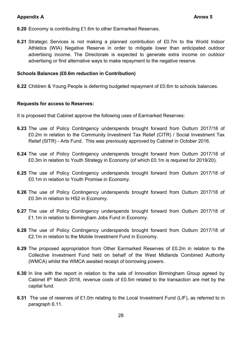- **6.20** Economy is contributing £1.6m to other Earmarked Reserves.
- **6.21** Strategic Services is not making a planned contribution of £0.7m to the World Indoor Athletics (WIA) Negative Reserve in order to mitigate lower than anticipated outdoor advertising income. The Directorate is expected to generate extra income on outdoor advertising or find alternative ways to make repayment to the negative reserve.

#### **Schools Balances (£0.6m reduction in Contribution)**

**6.22** Children & Young People is deferring budgeted repayment of £0.6m to schools balances.

#### **Requests for access to Reserves:**

It is proposed that Cabinet approve the following uses of Earmarked Reserves:

- **6.23** The use of Policy Contingency underspends brought forward from Outturn 2017/18 of £0.2m in relation to the Community Investment Tax Relief (CITR) / Social Investment Tax Relief (SITR) - Arts Fund. This was previously approved by Cabinet in October 2016.
- **6.24** The use of Policy Contingency underspends brought forward from Outturn 2017/18 of £0.3m in relation to Youth Strategy in Economy (of which £0.1m is required for 2019/20).
- **6.25** The use of Policy Contingency underspends brought forward from Outturn 2017/18 of £0.1m in relation to Youth Promise in Economy.
- **6.26** The use of Policy Contingency underspends brought forward from Outturn 2017/18 of £0.3m in relation to HS2 in Economy.
- **6.27** The use of Policy Contingency underspends brought forward from Outturn 2017/18 of £1.1m in relation to Birmingham Jobs Fund in Economy.
- **6.28** The use of Policy Contingency underspends brought forward from Outturn 2017/18 of £2.1m in relation to the Mobile Investment Fund in Economy.
- **6.29** The proposed appropriation from Other Earmarked Reserves of £0.2m in relation to the Collective Investment Fund held on behalf of the West Midlands Combined Authority (WMCA) whilst the WMCA awaited receipt of borrowing powers.
- **6.30** In line with the report in relation to the sale of Innovation Birmingham Group agreed by Cabinet 8<sup>th</sup> March 2018, revenue costs of £0.5m related to the transaction are met by the capital fund.
- **6.31** The use of reserves of £1.0m relating to the Local Investment Fund (LIF), as referred to in paragraph 6.11.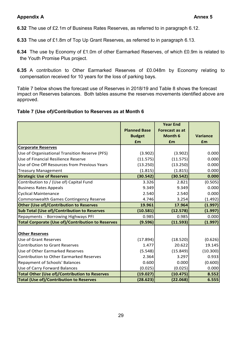**6.32** The use of £2.1m of Business Rates Reserves, as referred to in paragraph 6.12.

- **6.33** The use of £1.8m of Top Up Grant Reserves, as referred to in paragraph 6.13.
- **6.34** The use by Economy of £1.0m of other Earmarked Reserves, of which £0.9m is related to the Youth Promise Plus project.
- **6.35** A contribution to Other Earmarked Reserves of £0.048m by Economy relating to compensation received for 10 years for the loss of parking bays.

Table 7 below shows the forecast use of Reserves in 2018/19 and Table 8 shows the forecast impact on Reserves balances. Both tables assume the reserves movements identified above are approved.

#### **Table 7 (Use of)/Contribution to Reserves as at Month 6**

|                                                          |                     | <b>Year End</b>       |          |
|----------------------------------------------------------|---------------------|-----------------------|----------|
|                                                          | <b>Planned Base</b> | <b>Forecast as at</b> |          |
|                                                          | <b>Budget</b>       | Month 6               | Variance |
|                                                          | £m                  | £m                    | £m       |
| <b>Corporate Reserves</b>                                |                     |                       |          |
| Use of Organisational Transition Reserve (PFS)           | (3.902)             | (3.902)               | 0.000    |
| Use of Financial Resilience Reserve                      | (11.575)            | (11.575)              | 0.000    |
| Use of One Off Resources from Previous Years             | (13.250)            | (13.250)              | 0.000    |
| <b>Treasury Management</b>                               | (1.815)             | (1.815)               | 0.000    |
| <b>Strategic Use of Reserves</b>                         | (30.542)            | (30.542)              | 0.000    |
| Contribution to / (Use of) Capital Fund                  | 3.326               | 2.821                 | (0.505)  |
| <b>Business Rates Appeals</b>                            | 9.349               | 9.349                 | 0.000    |
| <b>Cyclical Maintenance</b>                              | 2.540               | 2.540                 | 0.000    |
| Commonwealth Games Contingency Reserve                   | 4.746               | 3.254                 | (1.492)  |
| Other (Use of)/Contribution to Reserves                  | 19.961              | 17.964                | (1.997)  |
| <b>Sub Total (Use of)/Contribution to Reserves</b>       | (10.581)            | (12.578)              | (1.997)  |
| Repayments - Borrowing Highways PFI                      | 0.985               | 0.985                 | 0.000    |
| <b>Total Corporate (Use of)/Contribution to Reserves</b> | (9.596)             | (11.593)              | (1.997)  |
|                                                          |                     |                       |          |
| <b>Other Reserves</b>                                    |                     |                       |          |
| <b>Use of Grant Reserves</b>                             | (17.894)            | (18.520)              | (0.626)  |
| <b>Contribution to Grant Reserves</b>                    | 1.477               | 20.622                | 19.145   |
| Use of Other Earmarked Reserves                          | (5.548)             | (15.849)              | (10.300) |
| <b>Contribution to Other Earmarked Reserves</b>          | 2.364               | 3.297                 | 0.933    |
| Repayment of Schools' Balances                           | 0.600               | 0.000                 | (0.600)  |
| Use of Carry Forward Balances                            | (0.025)             | (0.025)               | 0.000    |
| <b>Total Other (Use of)/Contribution to Reserves</b>     | (19.027)            | (10.475)              | 8.552    |
| <b>Total (Use of)/Contribution to Reserves</b>           | (28.623)            | (22.068)              | 6.555    |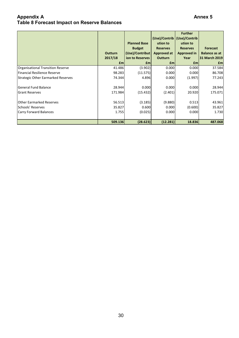#### **Appendix A Annex 5 Table 8 Forecast Impact on Reserve Balances**

|                                           | <b>Outturn</b><br>2017/18<br>£m | <b>Planned Base</b><br><b>Budget</b><br>(Use)/Contribut<br>ion to Reserves<br>£m | (Use)/Contrib<br>ution to<br><b>Reserves</b><br>Approved at<br><b>Outturn</b><br>$\mathbf{f}$ m | <b>Further</b><br>(Use)/Contrib<br>ution to<br><b>Reserves</b><br>Approved in<br>Year<br>£m | <b>Forecast</b><br><b>Balance as at</b><br>31 March 2019<br>$\mathbf{f}$ m |
|-------------------------------------------|---------------------------------|----------------------------------------------------------------------------------|-------------------------------------------------------------------------------------------------|---------------------------------------------------------------------------------------------|----------------------------------------------------------------------------|
| Organisational Transition Reserve         | 41.486                          | (3.902)                                                                          | 0.000                                                                                           | 0.000                                                                                       | 37.584                                                                     |
| Financial Resilience Reserve              | 98.283                          | (11.575)                                                                         | 0.000                                                                                           | 0.000                                                                                       | 86.708                                                                     |
| <b>Strategic Other Earmarked Reserves</b> | 74.344                          | 4.896                                                                            | 0.000                                                                                           | (1.997)                                                                                     | 77.243                                                                     |
| <b>General Fund Balance</b>               | 28.944                          | 0.000                                                                            | 0.000                                                                                           | 0.000                                                                                       | 28.944                                                                     |
| <b>Grant Reserves</b>                     | 171.984                         | (15.432)                                                                         | (2.401)                                                                                         | 20.920                                                                                      | 175.071                                                                    |
| <b>Other Earmarked Reserves</b>           | 56.513                          | (3.185)                                                                          | (9.880)                                                                                         | 0.513                                                                                       | 43.961                                                                     |
| Schools' Reserves                         | 35.827                          | 0.600                                                                            | 0.000                                                                                           | (0.600)                                                                                     | 35.827                                                                     |
| <b>Carry Forward Balances</b>             | 1.755                           | (0.025)                                                                          | 0.000                                                                                           | 0.000                                                                                       | 1.730                                                                      |
|                                           | 509.136                         | (28.623)                                                                         | (12.281)                                                                                        | 18.836                                                                                      | 487.068                                                                    |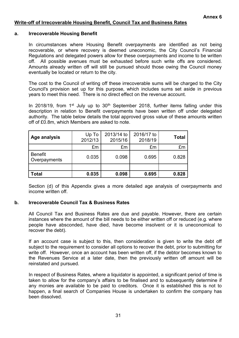#### **Write-off of Irrecoverable Housing Benefit, Council Tax and Business Rates**

#### **a. Irrecoverable Housing Benefit**

In circumstances where Housing Benefit overpayments are identified as not being recoverable, or where recovery is deemed uneconomic, the City Council's Financial Regulations and delegated powers allow for these overpayments and income to be written off. All possible avenues must be exhausted before such write offs are considered. Amounts already written off will still be pursued should those owing the Council money eventually be located or return to the city.

The cost to the Council of writing off these irrecoverable sums will be charged to the City Council's provision set up for this purpose, which includes sums set aside in previous years to meet this need. There is no direct effect on the revenue account.

In 2018/19, from  $1<sup>st</sup>$  July up to  $30<sup>th</sup>$  September 2018, further items falling under this description in relation to Benefit overpayments have been written off under delegated authority. The table below details the total approved gross value of these amounts written off of £0.8m, which Members are asked to note.

| Age analysis                   | Up To<br>2012/13 | 2013/14 to<br>2015/16 | 2016/17 to<br>2018/19 | <b>Total</b> |
|--------------------------------|------------------|-----------------------|-----------------------|--------------|
|                                | £m               | £m                    | £m                    | £m           |
| <b>Benefit</b><br>Overpayments | 0.035            | 0.098                 | 0.695                 | 0.828        |
|                                |                  |                       |                       |              |
| <b>Total</b>                   | 0.035            | 0.098                 | 0.695                 | 0.828        |

 Section (d) of this Appendix gives a more detailed age analysis of overpayments and income written off.

#### **b. Irrecoverable Council Tax & Business Rates**

All Council Tax and Business Rates are due and payable. However, there are certain instances where the amount of the bill needs to be either written off or reduced (e.g. where people have absconded, have died, have become insolvent or it is uneconomical to recover the debt).

If an account case is subject to this, then consideration is given to write the debt off subject to the requirement to consider all options to recover the debt, prior to submitting for write off. However, once an account has been written off, if the debtor becomes known to the Revenues Service at a later date, then the previously written off amount will be reinstated and pursued.

In respect of Business Rates, where a liquidator is appointed, a significant period of time is taken to allow for the company's affairs to be finalised and to subsequently determine if any monies are available to be paid to creditors. Once it is established this is not to happen, a final search of Companies House is undertaken to confirm the company has been dissolved.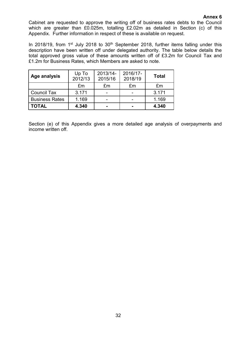#### **Annex 6**

Cabinet are requested to approve the writing off of business rates debts to the Council which are greater than £0.025m, totalling £2.02m as detailed in Section (c) of this Appendix. Further information in respect of these is available on request.

In 2018/19, from  $1<sup>st</sup>$  July 2018 to  $30<sup>th</sup>$  September 2018, further items falling under this description have been written off under delegated authority. The table below details the total approved gross value of these amounts written off of £3.2m for Council Tax and £1.2m for Business Rates, which Members are asked to note.

| <b>Age analysis</b>   | Up To<br>2012/13 | 2013/14-<br>2015/16 | 2016/17-<br>2018/19 | <b>Total</b> |
|-----------------------|------------------|---------------------|---------------------|--------------|
|                       | £m               | £m                  | £m                  | £m           |
| Council Tax           | 3.171            |                     |                     | 3.171        |
| <b>Business Rates</b> | 1.169            |                     |                     | 1.169        |
| <b>TOTAL</b>          | 4.340            |                     |                     | 4.340        |

 Section (e) of this Appendix gives a more detailed age analysis of overpayments and income written off.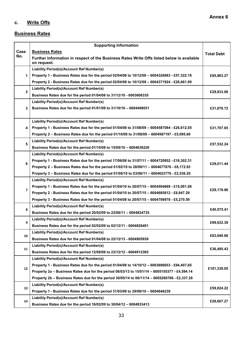## **c. Write Offs**

#### **Business Rates**

|                | <b>Supporting Information</b>                                                                            |                   |
|----------------|----------------------------------------------------------------------------------------------------------|-------------------|
| Case           | <b>Business Rates</b>                                                                                    | <b>Total Debt</b> |
| No.            | Further information in respect of the Business Rates Write Offs listed below is available<br>on request. |                   |
|                | Liability Period(s)/Account Ref Number(s)                                                                |                   |
| 1              | Property 1 - Business Rates due for the period 02/04/08 to 10/12/08 - 6004326883 - £57,322.18            | £85,983.27        |
|                | Property 2 - Business Rates due for the period 02/04/08 to 10/12/08 - 6004371924 - £28,661.09            |                   |
|                | Liability Period(s)/Account Ref Number(s)                                                                |                   |
| $\overline{2}$ | Business Rates due for the period 01/04/08 to 31/12/10 - 6003608335                                      | £29,833.06        |
|                | Liability Period(s)/Account Ref Number(s)                                                                |                   |
| 3              | Business Rates due for the period 01/01/09 to 31/10/10 - 6004498031                                      | £31,878.72        |
|                | Liability Period(s)/Account Ref Number(s)                                                                |                   |
| 4              | Property 1 - Business Rates due for the period 01/04/08 to 31/08/09 - 6004587084 - £26,612.05            | £31,707.65        |
|                | Property 2 - Business Rates due for the period 01/10/08 to 31/08/09 - 6004587197 - £5,095.60             |                   |
|                | Liability Period(s)/Account Ref Number(s)                                                                |                   |
| 5              | Business Rates due for the period 01/10/08 to 15/09/10 - 6004638220                                      | £57,532.24        |
|                | Liability Period(s)/Account Ref Number(s)                                                                |                   |
|                | Property 1 - Business Rates due for the period 17/06/08 to 31/07/11 - 6004720852 - £18,302.31            |                   |
| 6              | Property 2 - Business Rates due for the period 01/02/10 to 28/09/11 - 6004677676 - £8,172.93             | £29,011.44        |
|                | Property 3 - Business Rates due for the period 01/08/10 to 03/06/11 - 6004623776 - £2,536.20             |                   |
|                | Liability Period(s)/Account Ref Number(s)                                                                |                   |
|                | Property 1 - Business Rates due for the period 01/04/10 to 20/07/15 - 6004594669 - £15,061.08            |                   |
| 7              | Property 2 - Business Rates due for the period 01/04/10 to 20/07/15 - 6004685812 - £8,847.29             | £29,178.96        |
|                | Property 3 - Business Rates due for the period 01/04/08 to 20/07/15 - 6004798978 - £5,270.59             |                   |
|                | Liability Period(s)/Account Ref Number(s)                                                                |                   |
| 8              | Business Rates due for the period 20/02/09 to 22/08/11 - 6004824735                                      | £40,575.41        |
|                | Liability Period(s)/Account Ref Number(s)                                                                |                   |
| 9              | Business Rates due for the period 02/02/09 to 02/12/11 - 6004826491                                      | £99,632.39        |
|                | Liability Period(s)/Account Ref Number(s)                                                                |                   |
| 10             | Business Rates due for the period 01/04/08 to 22/12/13 - 6004905939                                      | £63,640.66        |
| 11             | Liability Period(s)/Account Ref Number(s)                                                                | £36,495.43        |
|                | Business Rates due for the period 12/08/08 to 23/12/12 - 6004912365                                      |                   |
|                | Liability Period(s)/Account Ref Number(s)                                                                |                   |
| 12             | Property 1 - Business Rates due for the period 01/04/08 to 14/10/12 - 6003696653 - £94,407.65            | £101,339.05       |
|                | Property 2a - Business Rates due for the period 06/03/13 to 15/01/14 - 6005155377 - £4,594.14            |                   |
|                | Property 2b - Business Rates due for the period 30/05/14 to 06/11/14 - 6005280766 - £2,337.26            |                   |
| 13             | Liability Period(s)/Account Ref Number(s)                                                                | £59,024.22        |
|                | Property 1 - Business Rates due for the period 31/03/09 to 29/06/10 - 6004646239                         |                   |
|                | Liability Period(s)/Account Ref Number(s)                                                                | £28,607.27        |
| 14             | Business Rates due for the period 16/02/09 to 30/04/12 - 6004933413                                      |                   |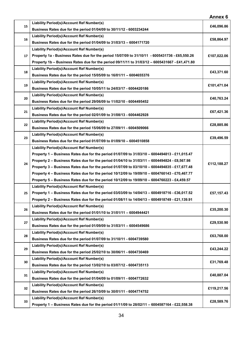|    |                                                                                                | Annex 6     |
|----|------------------------------------------------------------------------------------------------|-------------|
| 15 | Liability Period(s)/Account Ref Number(s)                                                      | £46,096.86  |
|    | Business Rates due for the period 01/04/09 to 30/11/12 - 6003234244                            |             |
| 16 | Liability Period(s)/Account Ref Number(s)                                                      | £58,864.97  |
|    | Business Rates due for the period 01/04/09 to 31/03/13 - 6004171720                            |             |
|    | Liability Period(s)/Account Ref Number(s)                                                      |             |
| 17 | Property 1a - Business Rates due for the period 15/07/09 to 31/10/11 - 6005431736 - £65,550.26 | £107,022.06 |
|    | Property 1b - Business Rates due for the period 09/11/11 to 31/03/12 - 6005431667 - £41,471.80 |             |
|    | Liability Period(s)/Account Ref Number(s)                                                      |             |
| 18 | Business Rates due for the period 15/05/09 to 16/01/11 - 6004655376                            | £43,371.60  |
|    | Liability Period(s)/Account Ref Number(s)                                                      |             |
| 19 | Business Rates due for the period 10/05/11 to 24/03/17 - 6004420186                            | £101,471.04 |
|    | Liability Period(s)/Account Ref Number(s)                                                      |             |
| 20 | Business Rates due for the period 29/06/09 to 11/02/10 - 6004495452                            | £40,763.24  |
|    | Liability Period(s)/Account Ref Number(s)                                                      |             |
| 21 | Business Rates due for the period 02/01/09 to 31/08/13 - 6004462928                            | £67,421.36  |
|    | Liability Period(s)/Account Ref Number(s)                                                      |             |
| 22 | Business Rates due for the period 15/06/09 to 27/09/11 - 6004509066                            | £28,885.86  |
|    | Liability Period(s)/Account Ref Number(s)                                                      |             |
| 23 | Business Rates due for the period 01/07/09 to 01/09/10 - 6004510858                            | £39,496.59  |
|    | Liability Period(s)/Account Ref Number(s)                                                      |             |
|    | Property 1 - Business Rates due for the period 01/07/09 to 31/03/10 - 6004494813 - £11,015.47  |             |
|    | Property 2 - Business Rates due for the period 01/04/10 to 31/03/11 - 6004494824 - £8,567.98   |             |
| 24 | Property 3 - Business Rates due for the period 01/07/09 to 03/10/10 - 6004494835 - £17,677.48  | £112,188.27 |
|    | Property 4 - Business Rates due for the period 10/12/09 to 19/09/10 - 6004760143 - £70,467.77  |             |
|    | Property 5 - Business Rates due for the period 10/12/09 to 19/09/10 - 6004760223 - £4,459.57   |             |
|    | Liability Period(s)/Account Ref Number(s)                                                      |             |
| 25 | Property 1 - Business Rates due for the period 03/03/09 to 14/04/13 - 6004918716 - £36,017.52  | £57,157.43  |
|    | Property 2 - Business Rates due for the period 01/08/11 to 14/04/13 - 6004918749 - £21,139.91  |             |
|    | Liability Period(s)/Account Ref Number(s)                                                      |             |
| 26 | Business Rates due for the period 01/01/10 to 31/01/11 - 6004944421                            | £35,200.30  |
|    | Liability Period(s)/Account Ref Number(s)                                                      |             |
| 27 | Business Rates due for the period 01/09/09 to 31/03/11 - 6004549686                            | £29,530.90  |
|    | Liability Period(s)/Account Ref Number(s)                                                      |             |
| 28 | Business Rates due for the period 01/07/09 to 31/10/11 - 6004739580                            | £63,768.00  |
|    | Liability Period(s)/Account Ref Number(s)                                                      |             |
| 29 | Business Rates due for the period 25/02/10 to 30/06/11 - 6004730469                            | £43,244.22  |
|    | Liability Period(s)/Account Ref Number(s)                                                      |             |
| 30 | Business Rates due for the period 13/02/10 to 03/07/12 - 6004735113                            | £31,769.48  |
|    | Liability Period(s)/Account Ref Number(s)                                                      |             |
| 31 | Business Rates due for the period 01/04/09 to 01/09/11 - 6004772632                            | £40,887.04  |
|    | Liability Period(s)/Account Ref Number(s)                                                      |             |
| 32 | Business Rates due for the period 26/10/09 to 30/01/11 - 6004774752                            | £119,217.56 |
|    | Liability Period(s)/Account Ref Number(s)                                                      |             |
| 33 | Property 1 - Business Rates due for the period 01/11/09 to 28/02/11 - 6004587164 - £22,558.38  | £28,589.76  |
|    |                                                                                                |             |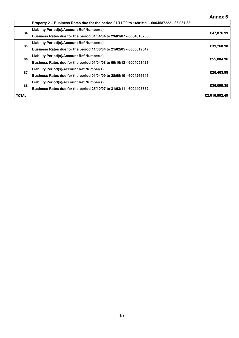|              |                                                                                              | Annex 6       |  |  |  |
|--------------|----------------------------------------------------------------------------------------------|---------------|--|--|--|
|              | Property 2 - Business Rates due for the period 01/11/09 to 16/01/11 - 6004587222 - £6,031.38 |               |  |  |  |
| 34           | Liability Period(s)/Account Ref Number(s)                                                    |               |  |  |  |
|              | Business Rates due for the period 01/04/04 to 29/01/07 - 6004018255                          | £47,876.99    |  |  |  |
| 35           | Liability Period(s)/Account Ref Number(s)                                                    |               |  |  |  |
|              | Business Rates due for the period 11/06/04 to 21/02/05 - 6003619547                          | £31,260.90    |  |  |  |
| 36           | Liability Period(s)/Account Ref Number(s)                                                    |               |  |  |  |
|              | Business Rates due for the period 01/04/08 to 09/10/12 - 6004051421                          | £55,804.96    |  |  |  |
| 37           | Liability Period(s)/Account Ref Number(s)                                                    |               |  |  |  |
|              | Business Rates due for the period 01/04/09 to 28/05/10 - 6004266646                          | £26,463.98    |  |  |  |
| 38           | Liability Period(s)/Account Ref Number(s)                                                    |               |  |  |  |
|              | Business Rates due for the period 25/10/07 to 31/03/11 - 6004405752                          | £36,099.35    |  |  |  |
| <b>TOTAL</b> |                                                                                              | £2,016,892.49 |  |  |  |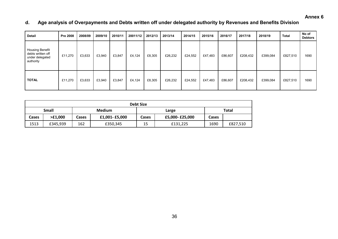**Annex 6** 

## **d. Age analysis of Overpayments and Debts written off under delegated authority by Revenues and Benefits Division**

| <b>Detail</b>                                                               | Pre 2008 | 2008/09 | 2009/10 | 2010/11 | 20011/12 | 2012/13 | 2013/14 | 2014/15 | 2015/16 | 2016/17 | 2017/18  | 2018/19  | <b>Total</b> | No of<br><b>Debtors</b> |
|-----------------------------------------------------------------------------|----------|---------|---------|---------|----------|---------|---------|---------|---------|---------|----------|----------|--------------|-------------------------|
| <b>Housing Benefit</b><br>debts written off<br>under delegated<br>authority | £11,270  | £3,633  | £3,940  | £3,847  | £4,124   | £8,305  | £26,232 | £24,552 | £47,483 | £86,607 | £208,432 | £399,084 | £827,510     | 1690                    |
| <b>TOTAL</b>                                                                | £11,270  | £3,633  | £3,940  | £3,847  | £4,124   | £8,305  | £26,232 | £24,552 | £47,483 | £86,607 | £208,432 | £399,084 | £827,510     | 1690                    |

| <b>Debt Size</b> |          |       |               |                         |          |              |          |  |  |
|------------------|----------|-------|---------------|-------------------------|----------|--------------|----------|--|--|
| Small            |          |       | <b>Medium</b> |                         | Large    | <b>Total</b> |          |  |  |
| Cases            | >£1,000  | Cases | £1,001-£5,000 | £5,000-£25,000<br>Cases |          | Cases        |          |  |  |
| 1513             | £345,939 | 162   | £350,345      | 15                      | £131,225 | 1690         | £827,510 |  |  |